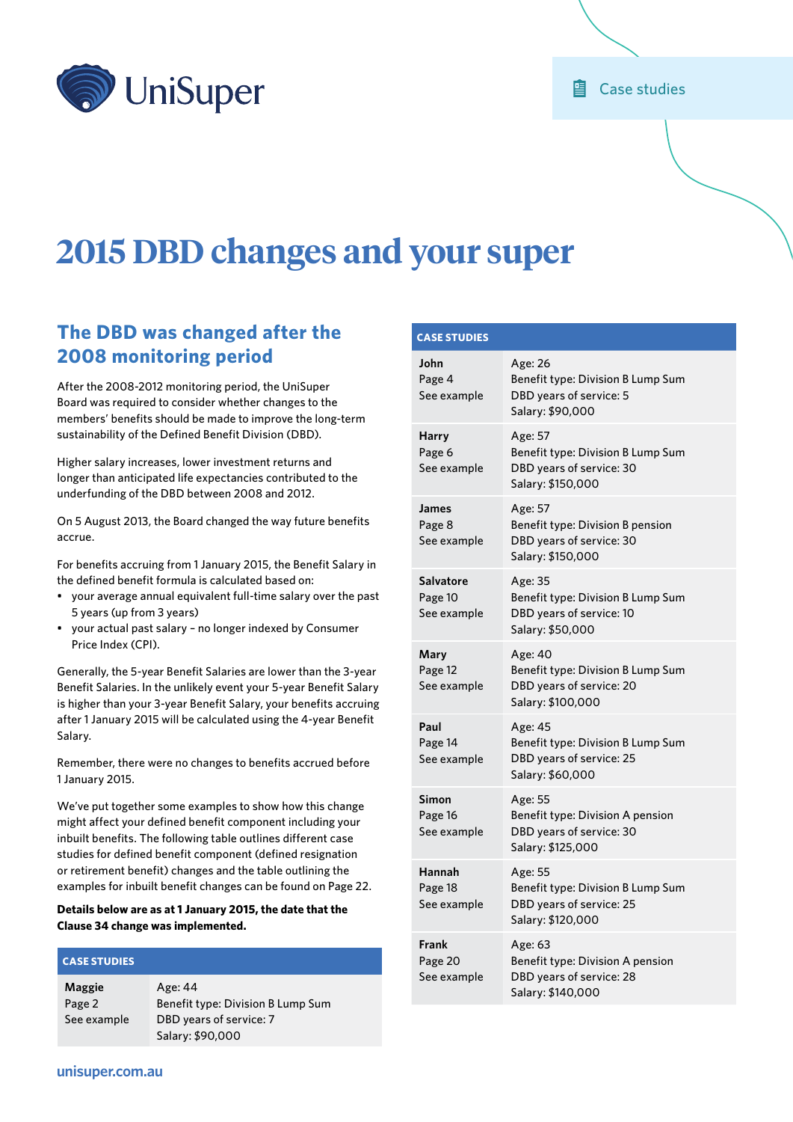

# **2015 DBD changes and your super**

# **The DBD was changed after the 2008 monitoring period**

After the 2008-2012 monitoring period, the UniSuper Board was required to consider whether changes to the members' benefits should be made to improve the long-term sustainability of the Defined Benefit Division (DBD).

Higher salary increases, lower investment returns and longer than anticipated life expectancies contributed to the underfunding of the DBD between 2008 and 2012.

On 5 August 2013, the Board changed the way future benefits accrue.

For benefits accruing from 1 January 2015, the Benefit Salary in the defined benefit formula is calculated based on:

- your average annual equivalent full-time salary over the past 5 years (up from 3 years)
- your actual past salary no longer indexed by Consumer Price Index (CPI).

Generally, the 5-year Benefit Salaries are lower than the 3-year Benefit Salaries. In the unlikely event your 5-year Benefit Salary is higher than your 3-year Benefit Salary, your benefits accruing after 1 January 2015 will be calculated using the 4-year Benefit Salary.

Remember, there were no changes to benefits accrued before 1 January 2015.

We've put together some examples to show how this change might affect your defined benefit component including your inbuilt benefits. The following table outlines different case studies for defined benefit component (defined resignation or retirement benefit) changes and the table outlining the examples for inbuilt benefit changes can be found on [Page 22](#page-21-0).

# **Details below are as at 1 January 2015, the date that the Clause 34 change was implemented.**

# **CASE STUDIES**

**[Maggie](#page-1-0)** [Page 2](#page-1-0) [See example](#page-1-0) Age: 44 Benefit type: Division B Lump Sum DBD years of service: 7 Salary: \$90,000

| <b>CASE STUDIES</b>                 |                                                                                               |
|-------------------------------------|-----------------------------------------------------------------------------------------------|
| John<br>Page 4<br>See example       | Age: 26<br>Benefit type: Division B Lump Sum<br>DBD years of service: 5<br>Salary: \$90,000   |
| Harry<br>Page 6<br>See example      | Age: 57<br>Benefit type: Division B Lump Sum<br>DBD years of service: 30<br>Salary: \$150,000 |
| James<br>Page 8<br>See example      | Age: 57<br>Benefit type: Division B pension<br>DBD years of service: 30<br>Salary: \$150,000  |
| Salvatore<br>Page 10<br>See example | Age: 35<br>Benefit type: Division B Lump Sum<br>DBD years of service: 10<br>Salary: \$50,000  |
| Mary<br>Page 12<br>See example      | Age: 40<br>Benefit type: Division B Lump Sum<br>DBD years of service: 20<br>Salary: \$100,000 |
| Paul<br>Page 14<br>See example      | Age: 45<br>Benefit type: Division B Lump Sum<br>DBD years of service: 25<br>Salary: \$60,000  |
| Simon<br>Page 16<br>See example     | Age: 55<br>Benefit type: Division A pension<br>DBD years of service: 30<br>Salary: \$125,000  |
| Hannah<br>Page 18<br>See example    | Age: 55<br>Benefit type: Division B Lump Sum<br>DBD years of service: 25<br>Salary: \$120,000 |
| Frank<br>Page 20<br>See example     | Age: 63<br>Benefit type: Division A pension<br>DBD years of service: 28<br>Salary: \$140,000  |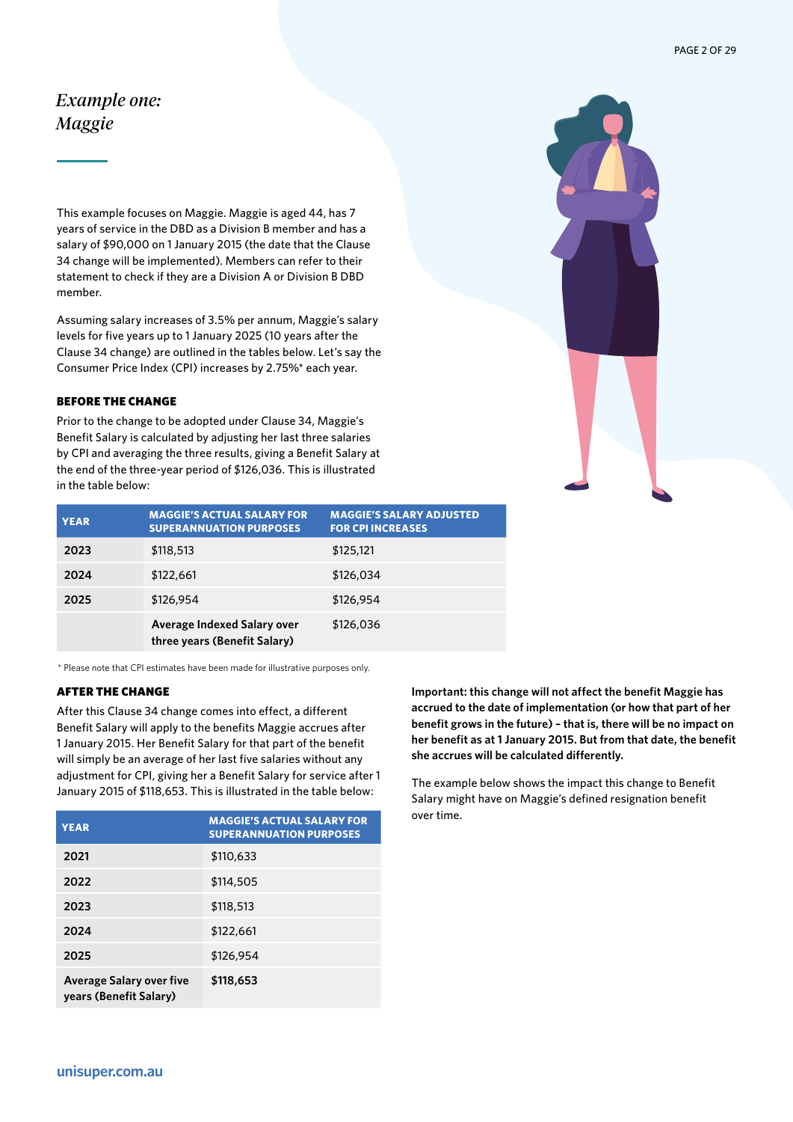# <span id="page-1-0"></span>*Example one: Maggie*

This example focuses on Maggie. Maggie is aged 44, has 7 years of service in the DBD as a Division B member and has a salary of \$90,000 on 1 January 2015 (the date that the Clause 34 change will be implemented). Members can refer to their statement to check if they are a Division A or Division B DBD member.

Assuming salary increases of 3.5% per annum, Maggie's salary levels for five years up to 1 January 2025 (10 years after the Clause 34 change) are outlined in the tables below. Let's say the Consumer Price Index (CPI) increases by 2.75%\* each year.

# BEFORE THE CHANGE

Prior to the change to be adopted under Clause 34, Maggie's Benefit Salary is calculated by adjusting her last three salaries by CPI and averaging the three results, giving a Benefit Salary at the end of the three-year period of \$126,036. This is illustrated in the table below:



| <b>YEAR</b> | <b>MAGGIE'S ACTUAL SALARY FOR</b><br><b>SUPERANNUATION PURPOSES</b> | <b>MAGGIE'S SALARY ADJUSTED</b><br><b>FOR CPI INCREASES</b> |
|-------------|---------------------------------------------------------------------|-------------------------------------------------------------|
| 2023        | \$118,513                                                           | \$125,121                                                   |
| 2024        | \$122,661                                                           | \$126,034                                                   |
| 2025        | \$126,954                                                           | \$126,954                                                   |
|             | Average Indexed Salary over<br>three years (Benefit Salary)         | \$126,036                                                   |

\* Please note that CPI estimates have been made for illustrative purposes only.

#### AFTER THE CHANGE

After this Clause 34 change comes into effect, a different Benefit Salary will apply to the benefits Maggie accrues after 1 January 2015. Her Benefit Salary for that part of the benefit will simply be an average of her last five salaries without any adjustment for CPI, giving her a Benefit Salary for service after 1 January 2015 of \$118,653. This is illustrated in the table below:

| <b>YEAR</b>                                               | <b>MAGGIE'S ACTUAL SALARY FOR</b><br><b>SUPERANNUATION PURPOSES</b> |
|-----------------------------------------------------------|---------------------------------------------------------------------|
| 2021                                                      | \$110,633                                                           |
| 2022                                                      | \$114,505                                                           |
| 2023                                                      | \$118,513                                                           |
| 2024                                                      | \$122,661                                                           |
| 2025                                                      | \$126,954                                                           |
| <b>Average Salary over five</b><br>years (Benefit Salary) | \$118,653                                                           |

**Important: this change will not affect the benefit Maggie has accrued to the date of implementation (or how that part of her benefit grows in the future) – that is, there will be no impact on her benefit as at 1 January 2015. But from that date, the benefit she accrues will be calculated differently.** 

The example below shows the impact this change to Benefit Salary might have on Maggie's defined resignation benefit over time.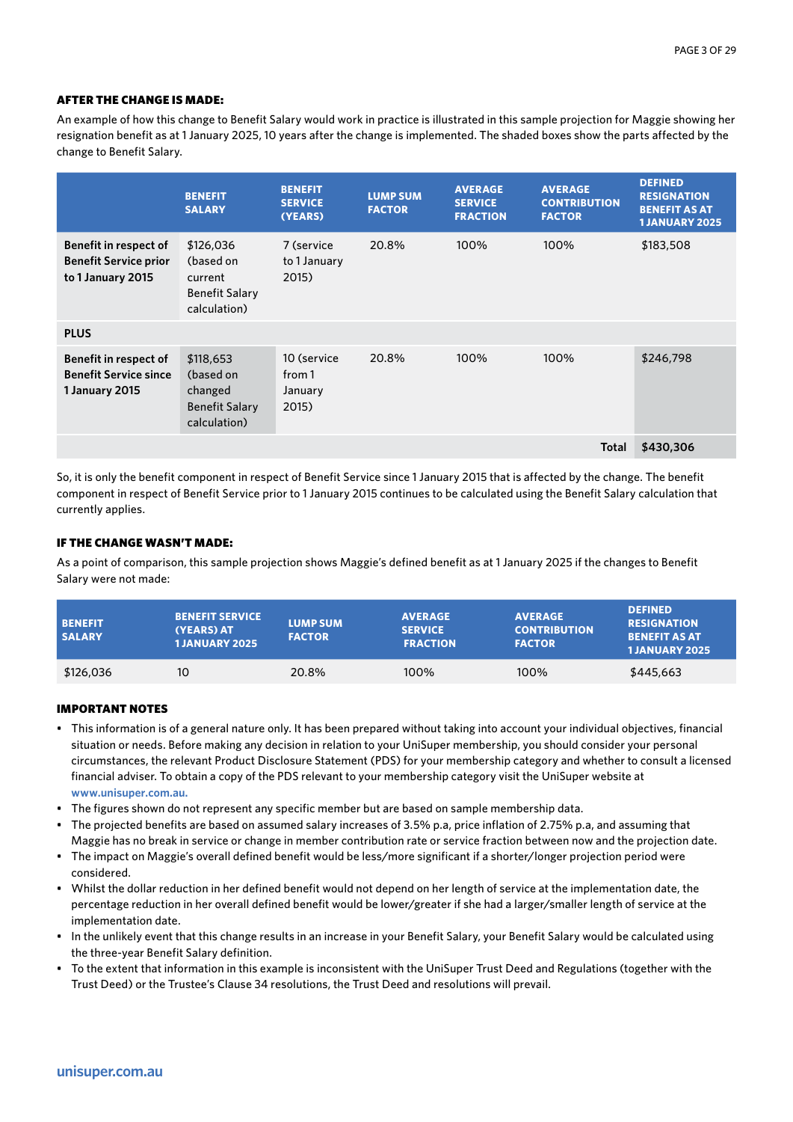An example of how this change to Benefit Salary would work in practice is illustrated in this sample projection for Maggie showing her resignation benefit as at 1 January 2025, 10 years after the change is implemented. The shaded boxes show the parts affected by the change to Benefit Salary.

|                                                                            | <b>BENEFIT</b><br><b>SALARY</b>                                            | <b>BENEFIT</b><br><b>SERVICE</b><br>(YEARS) | <b>LUMP SUM</b><br><b>FACTOR</b> | <b>AVERAGE</b><br><b>SERVICE</b><br><b>FRACTION</b> | <b>AVERAGE</b><br><b>CONTRIBUTION</b><br><b>FACTOR</b> | <b>DEFINED</b><br><b>RESIGNATION</b><br><b>BENEFIT AS AT</b><br><b>1 JANUARY 2025</b> |
|----------------------------------------------------------------------------|----------------------------------------------------------------------------|---------------------------------------------|----------------------------------|-----------------------------------------------------|--------------------------------------------------------|---------------------------------------------------------------------------------------|
| Benefit in respect of<br><b>Benefit Service prior</b><br>to 1 January 2015 | \$126,036<br>(based on<br>current<br><b>Benefit Salary</b><br>calculation) | 7 (service<br>to 1 January<br>2015)         | 20.8%                            | 100%                                                | 100%                                                   | \$183,508                                                                             |
| <b>PLUS</b>                                                                |                                                                            |                                             |                                  |                                                     |                                                        |                                                                                       |
| Benefit in respect of<br><b>Benefit Service since</b><br>1 January 2015    | \$118,653<br>(based on<br>changed<br><b>Benefit Salary</b><br>calculation) | 10 (service<br>from 1<br>January<br>2015)   | 20.8%                            | 100%                                                | 100%                                                   | \$246,798                                                                             |
|                                                                            |                                                                            |                                             |                                  |                                                     | <b>Total</b>                                           | \$430,306                                                                             |

So, it is only the benefit component in respect of Benefit Service since 1 January 2015 that is affected by the change. The benefit component in respect of Benefit Service prior to 1 January 2015 continues to be calculated using the Benefit Salary calculation that currently applies.

# IF THE CHANGE WASN'T MADE:

As a point of comparison, this sample projection shows Maggie's defined benefit as at 1 January 2025 if the changes to Benefit Salary were not made:

| <b>BENEFIT</b><br><b>SALARY</b> | <b>BENEFIT SERVICE</b><br>(YEARS) AT<br><b>1JANUARY 2025</b> | <b>LUMP SUM</b><br><b>FACTOR</b> | <b>AVERAGE</b><br><b>SERVICE</b><br><b>FRACTION</b> | <b>AVERAGE</b><br><b>CONTRIBUTION</b><br><b>FACTOR</b> | <b>DEFINED</b><br><b>RESIGNATION</b><br><b>BENEFIT AS AT</b><br><b>1JANUARY 2025</b> |
|---------------------------------|--------------------------------------------------------------|----------------------------------|-----------------------------------------------------|--------------------------------------------------------|--------------------------------------------------------------------------------------|
| \$126,036                       | 10                                                           | 20.8%                            | 100%                                                | 100%                                                   | \$445,663                                                                            |

- This information is of a general nature only. It has been prepared without taking into account your individual objectives, financial situation or needs. Before making any decision in relation to your UniSuper membership, you should consider your personal circumstances, the relevant Product Disclosure Statement (PDS) for your membership category and whether to consult a licensed financial adviser. To obtain a copy of the PDS relevant to your membership category visit the UniSuper website at **www.unisuper.com.au.**
- The figures shown do not represent any specific member but are based on sample membership data.
- The projected benefits are based on assumed salary increases of 3.5% p.a, price inflation of 2.75% p.a, and assuming that Maggie has no break in service or change in member contribution rate or service fraction between now and the projection date.
- The impact on Maggie's overall defined benefit would be less/more significant if a shorter/longer projection period were considered.
- Whilst the dollar reduction in her defined benefit would not depend on her length of service at the implementation date, the percentage reduction in her overall defined benefit would be lower/greater if she had a larger/smaller length of service at the implementation date.
- In the unlikely event that this change results in an increase in your Benefit Salary, your Benefit Salary would be calculated using the three-year Benefit Salary definition.
- To the extent that information in this example is inconsistent with the UniSuper Trust Deed and Regulations (together with the Trust Deed) or the Trustee's Clause 34 resolutions, the Trust Deed and resolutions will prevail.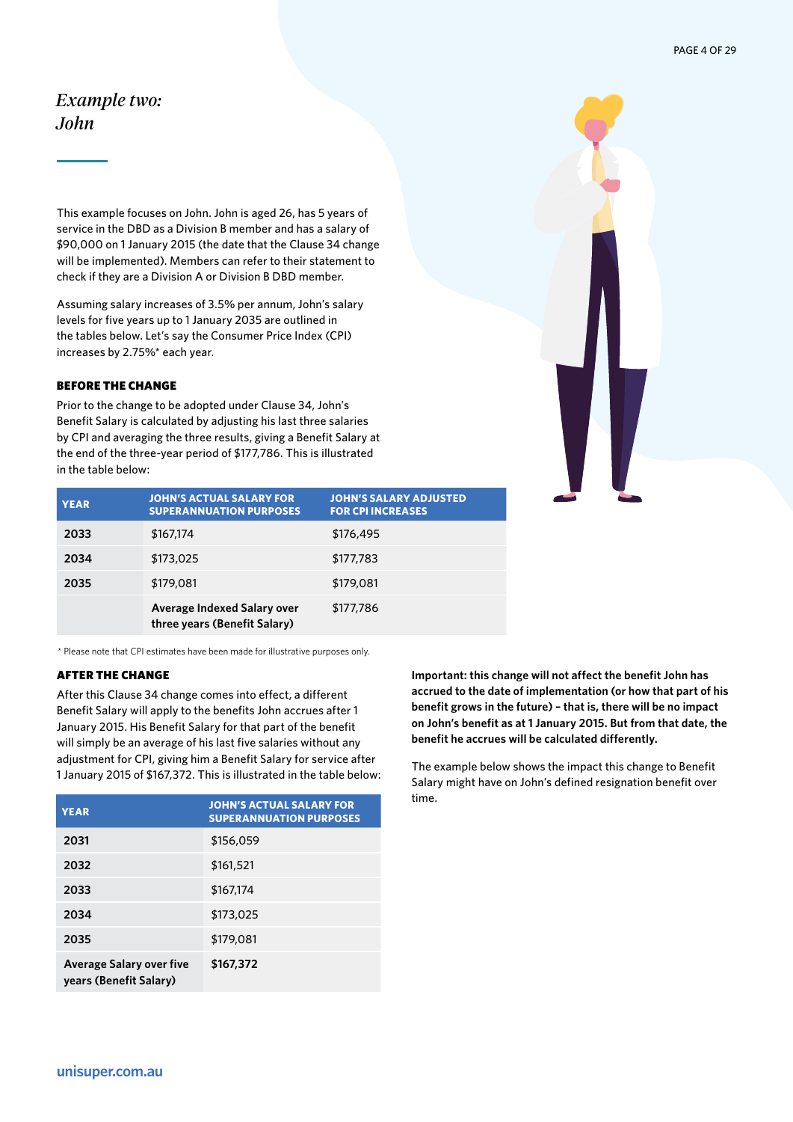# <span id="page-3-0"></span>*Example two: John*

This example focuses on John. John is aged 26, has 5 years of service in the DBD as a Division B member and has a salary of \$90,000 on 1 January 2015 (the date that the Clause 34 change will be implemented). Members can refer to their statement to check if they are a Division A or Division B DBD member.

Assuming salary increases of 3.5% per annum, John's salary levels for five years up to 1 January 2035 are outlined in the tables below. Let's say the Consumer Price Index (CPI) increases by 2.75%\* each year.

#### BEFORE THE CHANGE

Prior to the change to be adopted under Clause 34, John's Benefit Salary is calculated by adjusting his last three salaries by CPI and averaging the three results, giving a Benefit Salary at the end of the three-year period of \$177,786. This is illustrated in the table below:

| <b>YEAR</b> | JOHN'S ACTUAL SALARY FOR<br><b>SUPERANNUATION PURPOSES</b>  | <b>JOHN'S SALARY ADJUSTED</b><br><b>FOR CPI INCREASES</b> |
|-------------|-------------------------------------------------------------|-----------------------------------------------------------|
| 2033        | \$167,174                                                   | \$176,495                                                 |
| 2034        | \$173,025                                                   | \$177,783                                                 |
| 2035        | \$179,081                                                   | \$179,081                                                 |
|             | Average Indexed Salary over<br>three years (Benefit Salary) | \$177,786                                                 |

\* Please note that CPI estimates have been made for illustrative purposes only.

#### AFTER THE CHANGE

After this Clause 34 change comes into effect, a different Benefit Salary will apply to the benefits John accrues after 1 January 2015. His Benefit Salary for that part of the benefit will simply be an average of his last five salaries without any adjustment for CPI, giving him a Benefit Salary for service after 1 January 2015 of \$167,372. This is illustrated in the table below:

| <b>YEAR</b>                                               | <b>JOHN'S ACTUAL SALARY FOR</b><br><b>SUPERANNUATION PURPOSES</b> |
|-----------------------------------------------------------|-------------------------------------------------------------------|
| 2031                                                      | \$156,059                                                         |
| 2032                                                      | \$161,521                                                         |
| 2033                                                      | \$167.174                                                         |
| 2034                                                      | \$173,025                                                         |
| 2035                                                      | \$179,081                                                         |
| <b>Average Salary over five</b><br>years (Benefit Salary) | \$167,372                                                         |

**Important: this change will not affect the benefit John has accrued to the date of implementation (or how that part of his benefit grows in the future) – that is, there will be no impact on John's benefit as at 1 January 2015. But from that date, the benefit he accrues will be calculated differently.** 

The example below shows the impact this change to Benefit Salary might have on John's defined resignation benefit over time.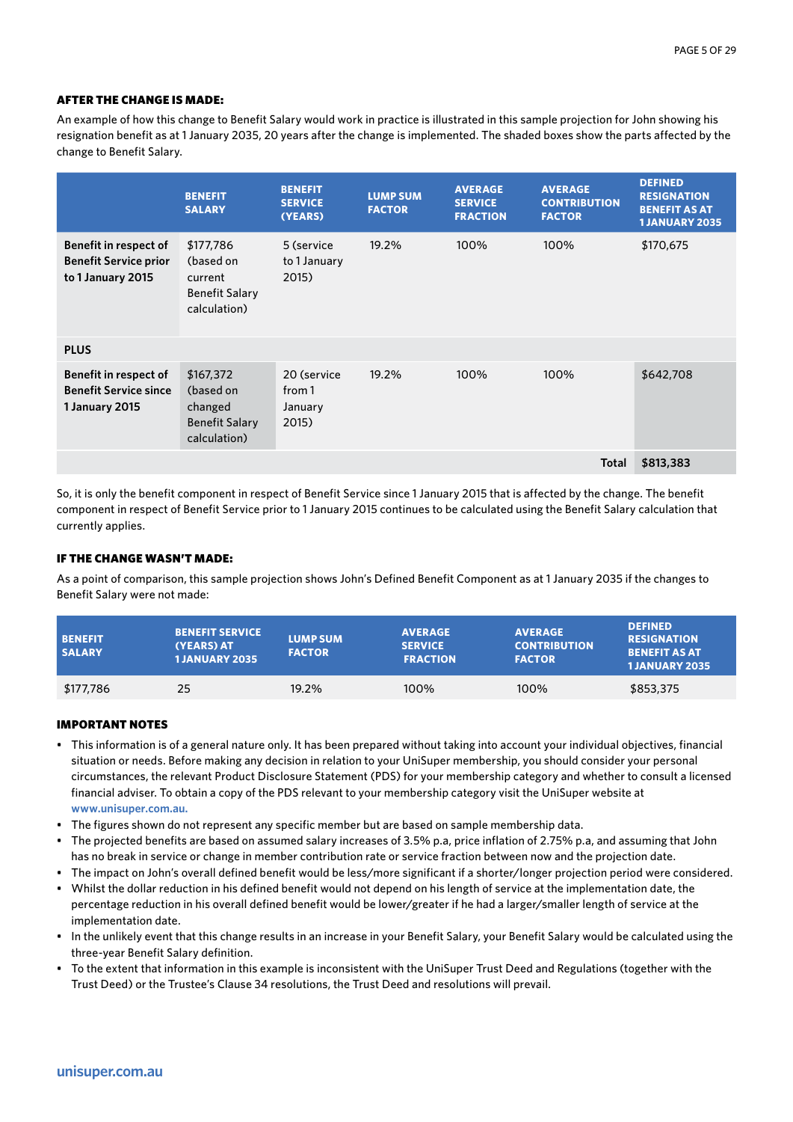An example of how this change to Benefit Salary would work in practice is illustrated in this sample projection for John showing his resignation benefit as at 1 January 2035, 20 years after the change is implemented. The shaded boxes show the parts affected by the change to Benefit Salary.

|                                                                            | <b>BENEFIT</b><br><b>SALARY</b>                                            | <b>BENEFIT</b><br><b>SERVICE</b><br>(YEARS) | <b>LUMP SUM</b><br><b>FACTOR</b> | <b>AVERAGE</b><br><b>SERVICE</b><br><b>FRACTION</b> | <b>AVERAGE</b><br><b>CONTRIBUTION</b><br><b>FACTOR</b> | <b>DEFINED</b><br><b>RESIGNATION</b><br><b>BENEFIT AS AT</b><br><b>1 JANUARY 2035</b> |
|----------------------------------------------------------------------------|----------------------------------------------------------------------------|---------------------------------------------|----------------------------------|-----------------------------------------------------|--------------------------------------------------------|---------------------------------------------------------------------------------------|
| Benefit in respect of<br><b>Benefit Service prior</b><br>to 1 January 2015 | \$177,786<br>(based on<br>current<br><b>Benefit Salary</b><br>calculation) | 5 (service<br>to 1 January<br>2015)         | 19.2%                            | 100%                                                | 100%                                                   | \$170,675                                                                             |
| <b>PLUS</b>                                                                |                                                                            |                                             |                                  |                                                     |                                                        |                                                                                       |
| Benefit in respect of<br><b>Benefit Service since</b><br>1 January 2015    | \$167,372<br>(based on<br>changed<br><b>Benefit Salary</b><br>calculation) | 20 (service<br>from 1<br>January<br>2015)   | 19.2%                            | 100%                                                | 100%                                                   | \$642,708                                                                             |
|                                                                            |                                                                            |                                             |                                  |                                                     | <b>Total</b>                                           | \$813,383                                                                             |

So, it is only the benefit component in respect of Benefit Service since 1 January 2015 that is affected by the change. The benefit component in respect of Benefit Service prior to 1 January 2015 continues to be calculated using the Benefit Salary calculation that currently applies.

# IF THE CHANGE WASN'T MADE:

As a point of comparison, this sample projection shows John's Defined Benefit Component as at 1 January 2035 if the changes to Benefit Salary were not made:

| <b>BENEFIT</b><br><b>SALARY</b> | <b>BENEFIT SERVICE</b><br>(YEARS) AT<br><b>1 JANUARY 2035</b> | <b>LUMP SUM</b><br><b>FACTOR</b> | <b>AVERAGE</b><br><b>SERVICE</b><br><b>FRACTION</b> | <b>AVERAGE</b><br><b>CONTRIBUTION</b><br><b>FACTOR</b> | <b>DEFINED</b><br><b>RESIGNATION</b><br><b>BENEFIT AS AT</b><br><b>1JANUARY 2035</b> |
|---------------------------------|---------------------------------------------------------------|----------------------------------|-----------------------------------------------------|--------------------------------------------------------|--------------------------------------------------------------------------------------|
| \$177,786                       | 25                                                            | 19.2%                            | 100%                                                | 100%                                                   | \$853,375                                                                            |

- This information is of a general nature only. It has been prepared without taking into account your individual objectives, financial situation or needs. Before making any decision in relation to your UniSuper membership, you should consider your personal circumstances, the relevant Product Disclosure Statement (PDS) for your membership category and whether to consult a licensed financial adviser. To obtain a copy of the PDS relevant to your membership category visit the UniSuper website at **www.unisuper.com.au.**
- The figures shown do not represent any specific member but are based on sample membership data.
- The projected benefits are based on assumed salary increases of 3.5% p.a, price inflation of 2.75% p.a, and assuming that John has no break in service or change in member contribution rate or service fraction between now and the projection date.
- The impact on John's overall defined benefit would be less/more significant if a shorter/longer projection period were considered.
- Whilst the dollar reduction in his defined benefit would not depend on his length of service at the implementation date, the percentage reduction in his overall defined benefit would be lower/greater if he had a larger/smaller length of service at the implementation date.
- In the unlikely event that this change results in an increase in your Benefit Salary, your Benefit Salary would be calculated using the three-year Benefit Salary definition.
- To the extent that information in this example is inconsistent with the UniSuper Trust Deed and Regulations (together with the Trust Deed) or the Trustee's Clause 34 resolutions, the Trust Deed and resolutions will prevail.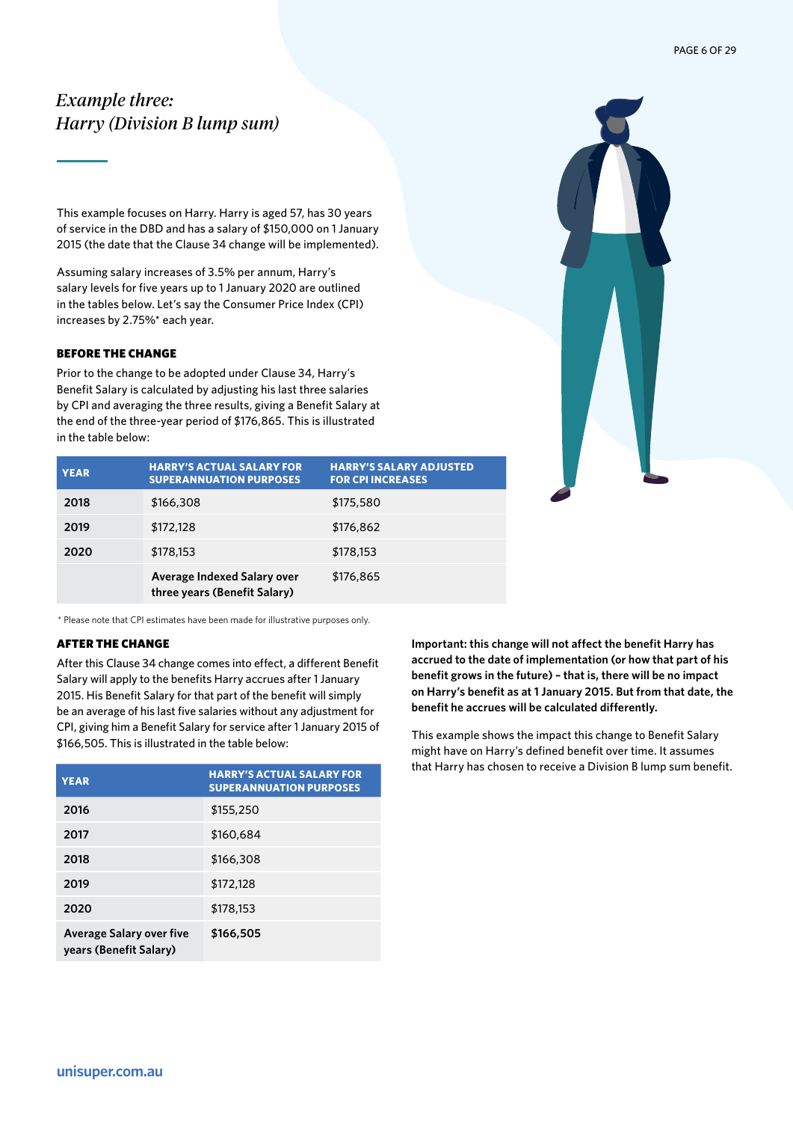# <span id="page-5-0"></span>*Example three: Harry (Division B lump sum)*

This example focuses on Harry. Harry is aged 57, has 30 years of service in the DBD and has a salary of \$150,000 on 1 January 2015 (the date that the Clause 34 change will be implemented).

Assuming salary increases of 3.5% per annum, Harry's salary levels for five years up to 1 January 2020 are outlined in the tables below. Let's say the Consumer Price Index (CPI) increases by 2.75%\* each year.

# BEFORE THE CHANGE

Prior to the change to be adopted under Clause 34, Harry's Benefit Salary is calculated by adjusting his last three salaries by CPI and averaging the three results, giving a Benefit Salary at the end of the three-year period of \$176,865. This is illustrated in the table below:



| <b>YEAR</b> | <b>HARRY'S ACTUAL SALARY FOR</b><br><b>SUPERANNUATION PURPOSES</b> | <b>HARRY'S SALARY ADJUSTED</b><br><b>FOR CPI INCREASES</b> |
|-------------|--------------------------------------------------------------------|------------------------------------------------------------|
| 2018        | \$166,308                                                          | \$175,580                                                  |
| 2019        | \$172,128                                                          | \$176,862                                                  |
| 2020        | \$178,153                                                          | \$178,153                                                  |
|             | Average Indexed Salary over<br>three years (Benefit Salary)        | \$176,865                                                  |

\* Please note that CPI estimates have been made for illustrative purposes only.

#### AFTER THE CHANGE

After this Clause 34 change comes into effect, a different Benefit Salary will apply to the benefits Harry accrues after 1 January 2015. His Benefit Salary for that part of the benefit will simply be an average of his last five salaries without any adjustment for CPI, giving him a Benefit Salary for service after 1 January 2015 of \$166,505. This is illustrated in the table below:

| <b>YEAR</b>                                               | <b>HARRY'S ACTUAL SALARY FOR</b><br><b>SUPERANNUATION PURPOSES</b> |
|-----------------------------------------------------------|--------------------------------------------------------------------|
| 2016                                                      | \$155,250                                                          |
| 2017                                                      | \$160,684                                                          |
| 2018                                                      | \$166,308                                                          |
| 2019                                                      | \$172,128                                                          |
| 2020                                                      | \$178,153                                                          |
| <b>Average Salary over five</b><br>years (Benefit Salary) | \$166,505                                                          |

**Important: this change will not affect the benefit Harry has accrued to the date of implementation (or how that part of his benefit grows in the future) – that is, there will be no impact on Harry's benefit as at 1 January 2015. But from that date, the benefit he accrues will be calculated differently.** 

This example shows the impact this change to Benefit Salary might have on Harry's defined benefit over time. It assumes that Harry has chosen to receive a Division B lump sum benefit.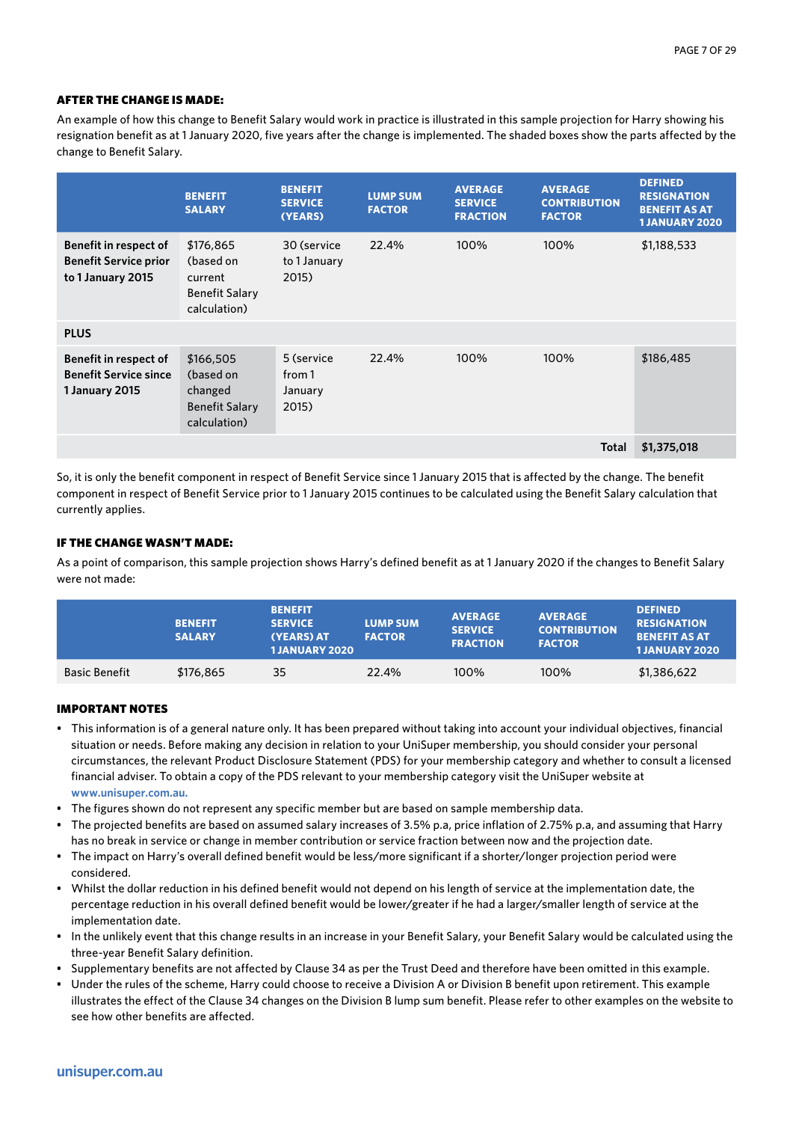An example of how this change to Benefit Salary would work in practice is illustrated in this sample projection for Harry showing his resignation benefit as at 1 January 2020, five years after the change is implemented. The shaded boxes show the parts affected by the change to Benefit Salary.

|                                                                                | <b>BENEFIT</b><br><b>SALARY</b>                                            | <b>BENEFIT</b><br><b>SERVICE</b><br>(YEARS) | <b>LUMP SUM</b><br><b>FACTOR</b> | <b>AVERAGE</b><br><b>SERVICE</b><br><b>FRACTION</b> | <b>AVERAGE</b><br><b>CONTRIBUTION</b><br><b>FACTOR</b> | <b>DEFINED</b><br><b>RESIGNATION</b><br><b>BENEFIT AS AT</b><br><b>1 JANUARY 2020</b> |
|--------------------------------------------------------------------------------|----------------------------------------------------------------------------|---------------------------------------------|----------------------------------|-----------------------------------------------------|--------------------------------------------------------|---------------------------------------------------------------------------------------|
| Benefit in respect of<br><b>Benefit Service prior</b><br>to 1 January 2015     | \$176,865<br>(based on<br>current<br><b>Benefit Salary</b><br>calculation) | 30 (service<br>to 1 January<br>2015)        | 22.4%                            | 100%                                                | 100%                                                   | \$1,188,533                                                                           |
| <b>PLUS</b>                                                                    |                                                                            |                                             |                                  |                                                     |                                                        |                                                                                       |
| <b>Benefit in respect of</b><br><b>Benefit Service since</b><br>1 January 2015 | \$166,505<br>(based on<br>changed<br><b>Benefit Salary</b><br>calculation) | 5 (service<br>from 1<br>January<br>2015)    | 22.4%                            | 100%                                                | 100%                                                   | \$186,485                                                                             |
|                                                                                |                                                                            |                                             |                                  |                                                     | <b>Total</b>                                           | \$1,375,018                                                                           |

So, it is only the benefit component in respect of Benefit Service since 1 January 2015 that is affected by the change. The benefit component in respect of Benefit Service prior to 1 January 2015 continues to be calculated using the Benefit Salary calculation that currently applies.

# IF THE CHANGE WASN'T MADE:

As a point of comparison, this sample projection shows Harry's defined benefit as at 1 January 2020 if the changes to Benefit Salary were not made:

|                      | <b>BENEFIT</b><br><b>SALARY</b> | <b>BENEFIT</b><br><b>SERVICE</b><br>(YEARS) AT<br><b>1JANUARY 2020</b> | <b>LUMP SUM</b><br><b>FACTOR</b> | <b>AVERAGE</b><br><b>SERVICE</b><br><b>FRACTION</b> | <b>AVERAGE</b><br><b>CONTRIBUTION</b><br><b>FACTOR</b> | <b>DEFINED</b><br><b>RESIGNATION</b><br><b>BENEFIT AS AT</b><br><b>1JANUARY 2020</b> |
|----------------------|---------------------------------|------------------------------------------------------------------------|----------------------------------|-----------------------------------------------------|--------------------------------------------------------|--------------------------------------------------------------------------------------|
| <b>Basic Benefit</b> | \$176,865                       | 35                                                                     | 22.4%                            | 100%                                                | 100%                                                   | \$1,386,622                                                                          |

- This information is of a general nature only. It has been prepared without taking into account your individual objectives, financial situation or needs. Before making any decision in relation to your UniSuper membership, you should consider your personal circumstances, the relevant Product Disclosure Statement (PDS) for your membership category and whether to consult a licensed financial adviser. To obtain a copy of the PDS relevant to your membership category visit the UniSuper website at **www.unisuper.com.au.**
- The figures shown do not represent any specific member but are based on sample membership data.
- The projected benefits are based on assumed salary increases of 3.5% p.a, price inflation of 2.75% p.a, and assuming that Harry has no break in service or change in member contribution or service fraction between now and the projection date.
- The impact on Harry's overall defined benefit would be less/more significant if a shorter/longer projection period were considered.
- Whilst the dollar reduction in his defined benefit would not depend on his length of service at the implementation date, the percentage reduction in his overall defined benefit would be lower/greater if he had a larger/smaller length of service at the implementation date.
- In the unlikely event that this change results in an increase in your Benefit Salary, your Benefit Salary would be calculated using the three-year Benefit Salary definition.
- Supplementary benefits are not affected by Clause 34 as per the Trust Deed and therefore have been omitted in this example.
- Under the rules of the scheme, Harry could choose to receive a Division A or Division B benefit upon retirement. This example illustrates the effect of the Clause 34 changes on the Division B lump sum benefit. Please refer to other examples on the website to see how other benefits are affected.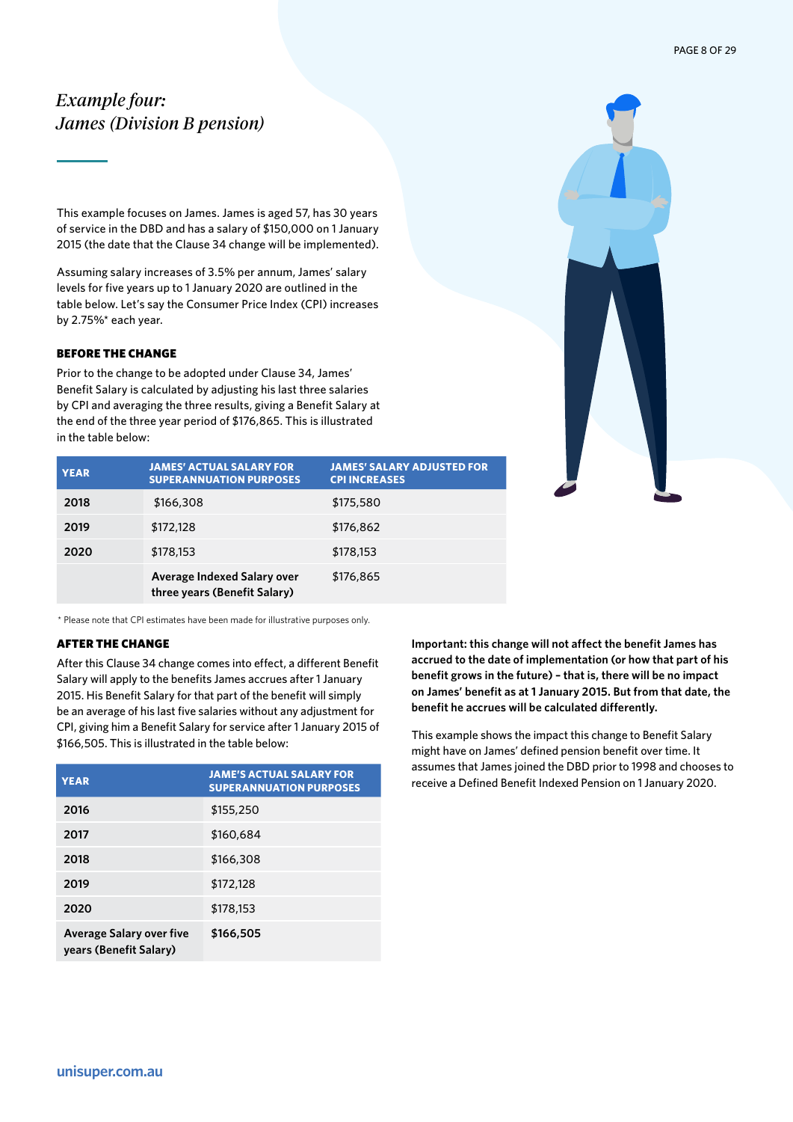# <span id="page-7-0"></span>*Example four: James (Division B pension)*

This example focuses on James. James is aged 57, has 30 years of service in the DBD and has a salary of \$150,000 on 1 January 2015 (the date that the Clause 34 change will be implemented).

Assuming salary increases of 3.5% per annum, James' salary levels for five years up to 1 January 2020 are outlined in the table below. Let's say the Consumer Price Index (CPI) increases by 2.75%\* each year.

# BEFORE THE CHANGE

Prior to the change to be adopted under Clause 34, James' Benefit Salary is calculated by adjusting his last three salaries by CPI and averaging the three results, giving a Benefit Salary at the end of the three year period of \$176,865. This is illustrated in the table below:



| <b>YEAR</b> | <b>JAMES' ACTUAL SALARY FOR</b><br><b>SUPERANNUATION PURPOSES</b> | <b>JAMES' SALARY ADJUSTED FOR</b><br><b>CPI INCREASES</b> |
|-------------|-------------------------------------------------------------------|-----------------------------------------------------------|
| 2018        | \$166,308                                                         | \$175,580                                                 |
| 2019        | \$172,128                                                         | \$176,862                                                 |
| 2020        | \$178,153                                                         | \$178,153                                                 |
|             | Average Indexed Salary over<br>three years (Benefit Salary)       | \$176,865                                                 |

\* Please note that CPI estimates have been made for illustrative purposes only.

# AFTER THE CHANGE

After this Clause 34 change comes into effect, a different Benefit Salary will apply to the benefits James accrues after 1 January 2015. His Benefit Salary for that part of the benefit will simply be an average of his last five salaries without any adjustment for CPI, giving him a Benefit Salary for service after 1 January 2015 of \$166,505. This is illustrated in the table below:

| <b>YEAR</b>                                               | <b>JAME'S ACTUAL SALARY FOR</b><br><b>SUPERANNUATION PURPOSES</b> |
|-----------------------------------------------------------|-------------------------------------------------------------------|
| 2016                                                      | \$155,250                                                         |
| 2017                                                      | \$160,684                                                         |
| 2018                                                      | \$166,308                                                         |
| 2019                                                      | \$172,128                                                         |
| 2020                                                      | \$178,153                                                         |
| <b>Average Salary over five</b><br>years (Benefit Salary) | \$166,505                                                         |

**Important: this change will not affect the benefit James has accrued to the date of implementation (or how that part of his benefit grows in the future) – that is, there will be no impact on James' benefit as at 1 January 2015. But from that date, the benefit he accrues will be calculated differently.** 

This example shows the impact this change to Benefit Salary might have on James' defined pension benefit over time. It assumes that James joined the DBD prior to 1998 and chooses to receive a Defined Benefit Indexed Pension on 1 January 2020.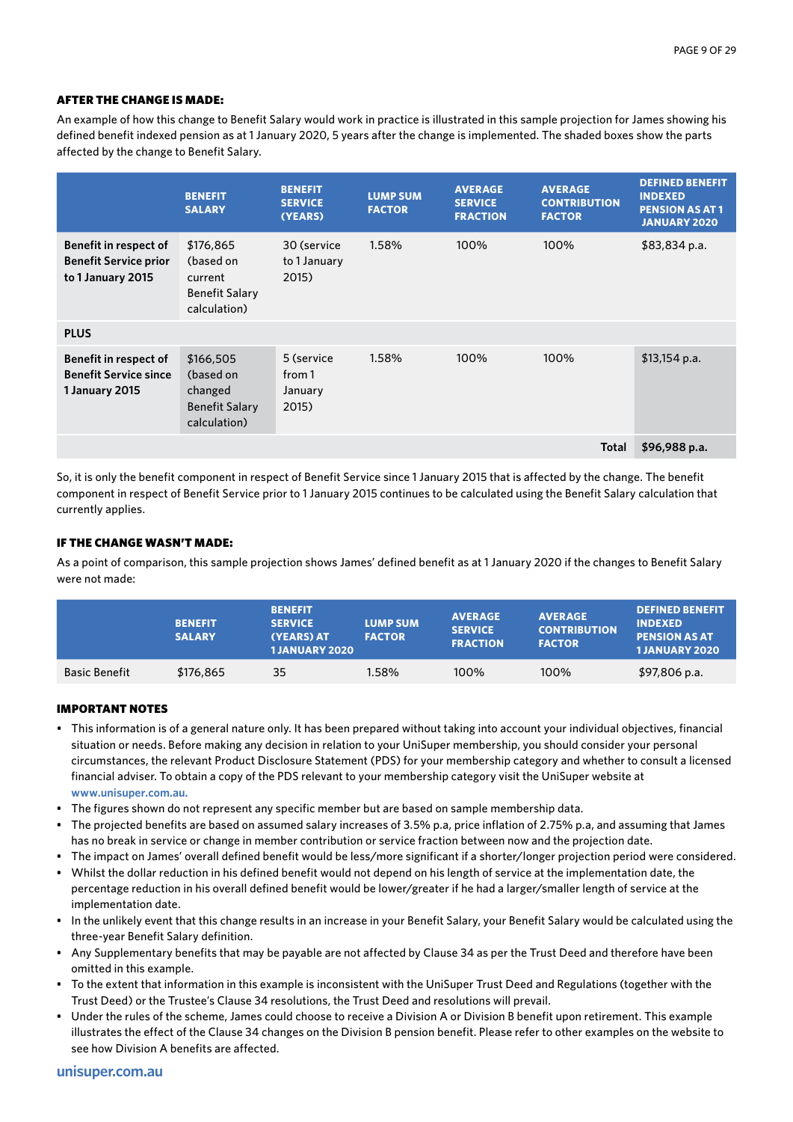An example of how this change to Benefit Salary would work in practice is illustrated in this sample projection for James showing his defined benefit indexed pension as at 1 January 2020, 5 years after the change is implemented. The shaded boxes show the parts affected by the change to Benefit Salary.

|                                                                                   | <b>BENEFIT</b><br><b>SALARY</b>                                            | <b>BENEFIT</b><br><b>SERVICE</b><br>(YEARS) | <b>LUMP SUM</b><br><b>FACTOR</b> | <b>AVERAGE</b><br><b>SERVICE</b><br><b>FRACTION</b> | <b>AVERAGE</b><br><b>CONTRIBUTION</b><br><b>FACTOR</b> | <b>DEFINED BENEFIT</b><br><b>INDEXED</b><br><b>PENSION AS AT 1</b><br><b>JANUARY 2020</b> |
|-----------------------------------------------------------------------------------|----------------------------------------------------------------------------|---------------------------------------------|----------------------------------|-----------------------------------------------------|--------------------------------------------------------|-------------------------------------------------------------------------------------------|
| <b>Benefit in respect of</b><br><b>Benefit Service prior</b><br>to 1 January 2015 | \$176,865<br>(based on<br>current<br><b>Benefit Salary</b><br>calculation) | 30 (service<br>to 1 January<br>2015)        | 1.58%                            | 100%                                                | 100%                                                   | $$83,834$ p.a.                                                                            |
| <b>PLUS</b>                                                                       |                                                                            |                                             |                                  |                                                     |                                                        |                                                                                           |
| Benefit in respect of<br><b>Benefit Service since</b><br>1 January 2015           | \$166,505<br>(based on<br>changed<br><b>Benefit Salary</b><br>calculation) | 5 (service<br>from 1<br>January<br>2015)    | 1.58%                            | 100%                                                | 100%                                                   | $$13,154$ p.a.                                                                            |
|                                                                                   |                                                                            |                                             |                                  |                                                     | <b>Total</b>                                           | \$96,988 p.a.                                                                             |

So, it is only the benefit component in respect of Benefit Service since 1 January 2015 that is affected by the change. The benefit component in respect of Benefit Service prior to 1 January 2015 continues to be calculated using the Benefit Salary calculation that currently applies.

### IF THE CHANGE WASN'T MADE:

As a point of comparison, this sample projection shows James' defined benefit as at 1 January 2020 if the changes to Benefit Salary were not made:

|                      | <b>BENEFIT</b><br><b>SALARY</b> | <b>BENEFIT</b><br><b>SERVICE</b><br>(YEARS) AT<br><b>1JANUARY 2020</b> | <b>LUMP SUM</b><br><b>FACTOR</b> | <b>AVERAGE</b><br><b>SERVICE</b><br><b>FRACTION</b> | <b>AVERAGE</b><br><b>CONTRIBUTION</b><br><b>FACTOR</b> | <b>DEFINED BENEFIT</b><br><b>INDEXED</b><br><b>PENSION AS AT</b><br><b>1JANUARY 2020</b> |
|----------------------|---------------------------------|------------------------------------------------------------------------|----------------------------------|-----------------------------------------------------|--------------------------------------------------------|------------------------------------------------------------------------------------------|
| <b>Basic Benefit</b> | \$176,865                       | 35                                                                     | 1.58%                            | 100%                                                | 100%                                                   | \$97,806 p.a.                                                                            |

- This information is of a general nature only. It has been prepared without taking into account your individual objectives, financial situation or needs. Before making any decision in relation to your UniSuper membership, you should consider your personal circumstances, the relevant Product Disclosure Statement (PDS) for your membership category and whether to consult a licensed financial adviser. To obtain a copy of the PDS relevant to your membership category visit the UniSuper website at **www.unisuper.com.au.**
- The figures shown do not represent any specific member but are based on sample membership data.
- The projected benefits are based on assumed salary increases of 3.5% p.a, price inflation of 2.75% p.a, and assuming that James has no break in service or change in member contribution or service fraction between now and the projection date.
- The impact on James' overall defined benefit would be less/more significant if a shorter/longer projection period were considered.
- Whilst the dollar reduction in his defined benefit would not depend on his length of service at the implementation date, the percentage reduction in his overall defined benefit would be lower/greater if he had a larger/smaller length of service at the implementation date.
- In the unlikely event that this change results in an increase in your Benefit Salary, your Benefit Salary would be calculated using the three-year Benefit Salary definition.
- Any Supplementary benefits that may be payable are not affected by Clause 34 as per the Trust Deed and therefore have been omitted in this example.
- To the extent that information in this example is inconsistent with the UniSuper Trust Deed and Regulations (together with the Trust Deed) or the Trustee's Clause 34 resolutions, the Trust Deed and resolutions will prevail.
- Under the rules of the scheme, James could choose to receive a Division A or Division B benefit upon retirement. This example illustrates the effect of the Clause 34 changes on the Division B pension benefit. Please refer to other examples on the website to see how Division A benefits are affected.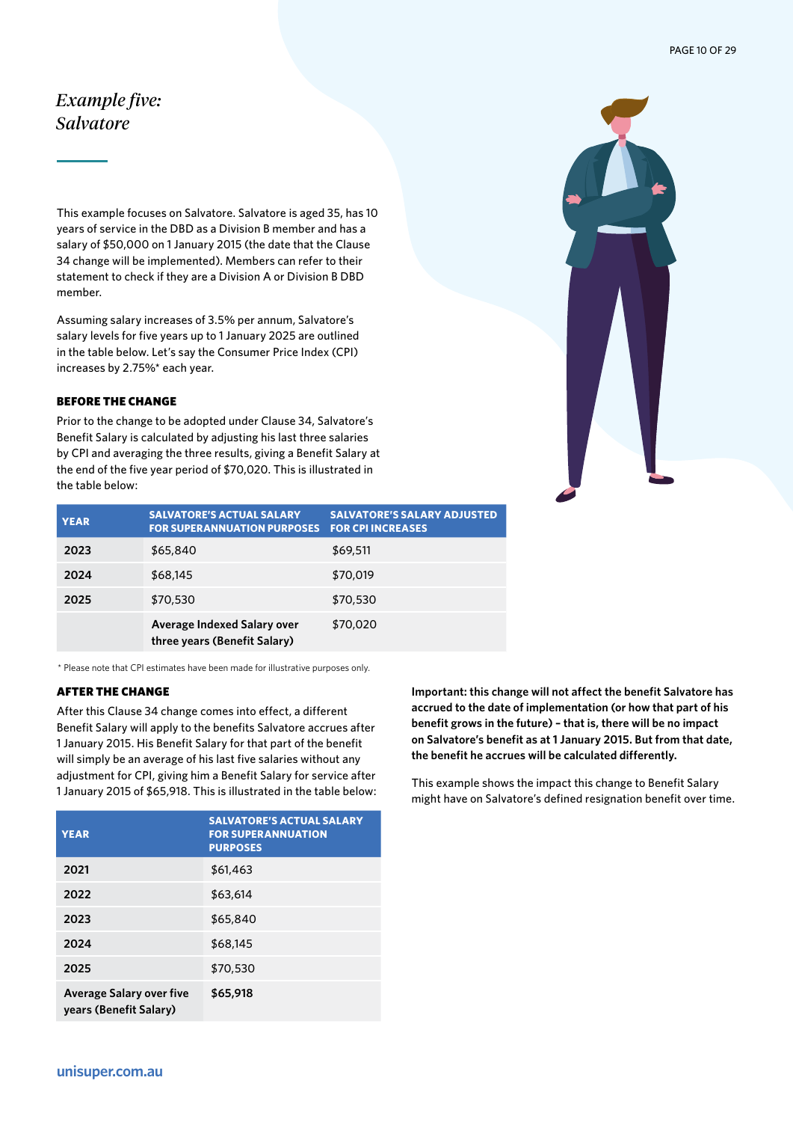# <span id="page-9-0"></span>*Example five: Salvatore*

This example focuses on Salvatore. Salvatore is aged 35, has 10 years of service in the DBD as a Division B member and has a salary of \$50,000 on 1 January 2015 (the date that the Clause 34 change will be implemented). Members can refer to their statement to check if they are a Division A or Division B DBD member.

Assuming salary increases of 3.5% per annum, Salvatore's salary levels for five years up to 1 January 2025 are outlined in the table below. Let's say the Consumer Price Index (CPI) increases by 2.75%\* each year.

# BEFORE THE CHANGE

Prior to the change to be adopted under Clause 34, Salvatore's Benefit Salary is calculated by adjusting his last three salaries by CPI and averaging the three results, giving a Benefit Salary at the end of the five year period of \$70,020. This is illustrated in the table below:

| <b>YEAR</b> | <b>SALVATORE'S ACTUAL SALARY</b><br><b>FOR SUPERANNUATION PURPOSES</b> | <b>SALVATORE'S SALARY ADJUSTED</b><br><b>FOR CPI INCREASES</b> |
|-------------|------------------------------------------------------------------------|----------------------------------------------------------------|
| 2023        | \$65,840                                                               | \$69,511                                                       |
| 2024        | \$68,145                                                               | \$70,019                                                       |
| 2025        | \$70,530                                                               | \$70,530                                                       |
|             | Average Indexed Salary over<br>three years (Benefit Salary)            | \$70,020                                                       |

\* Please note that CPI estimates have been made for illustrative purposes only.

#### AFTER THE CHANGE

After this Clause 34 change comes into effect, a different Benefit Salary will apply to the benefits Salvatore accrues after 1 January 2015. His Benefit Salary for that part of the benefit will simply be an average of his last five salaries without any adjustment for CPI, giving him a Benefit Salary for service after 1 January 2015 of \$65,918. This is illustrated in the table below:

| <b>YEAR</b>                                               | <b>SALVATORE'S ACTUAL SALARY</b><br><b>FOR SUPERANNUATION</b><br><b>PURPOSES</b> |
|-----------------------------------------------------------|----------------------------------------------------------------------------------|
| 2021                                                      | \$61,463                                                                         |
| 2022                                                      | \$63,614                                                                         |
| 2023                                                      | \$65,840                                                                         |
| 2024                                                      | \$68,145                                                                         |
| 2025                                                      | \$70,530                                                                         |
| <b>Average Salary over five</b><br>years (Benefit Salary) | \$65,918                                                                         |

**Important: this change will not affect the benefit Salvatore has accrued to the date of implementation (or how that part of his benefit grows in the future) – that is, there will be no impact on Salvatore's benefit as at 1 January 2015. But from that date, the benefit he accrues will be calculated differently.** 

This example shows the impact this change to Benefit Salary might have on Salvatore's defined resignation benefit over time.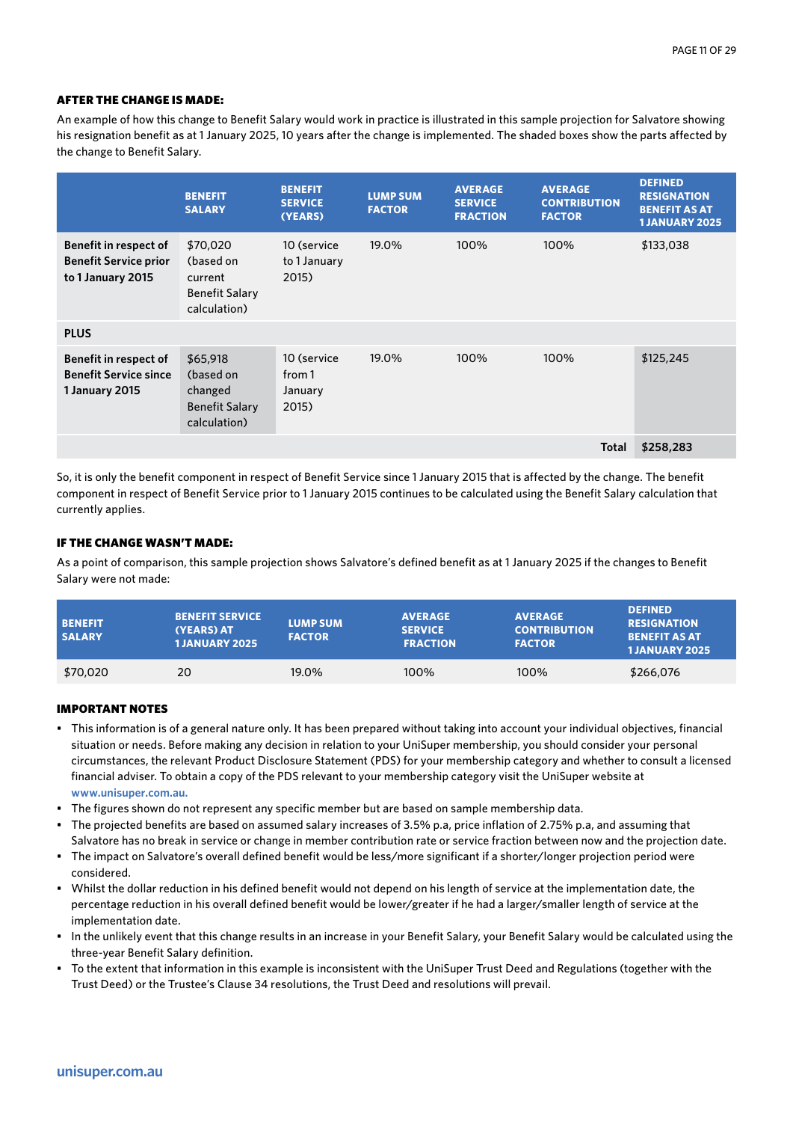An example of how this change to Benefit Salary would work in practice is illustrated in this sample projection for Salvatore showing his resignation benefit as at 1 January 2025, 10 years after the change is implemented. The shaded boxes show the parts affected by the change to Benefit Salary.

|                                                                            | <b>BENEFIT</b><br><b>SALARY</b>                                           | <b>BENEFIT</b><br><b>SERVICE</b><br>(YEARS) | <b>LUMP SUM</b><br><b>FACTOR</b> | <b>AVERAGE</b><br><b>SERVICE</b><br><b>FRACTION</b> | <b>AVERAGE</b><br><b>CONTRIBUTION</b><br><b>FACTOR</b> | <b>DEFINED</b><br><b>RESIGNATION</b><br><b>BENEFIT AS AT</b><br><b>1 JANUARY 2025</b> |
|----------------------------------------------------------------------------|---------------------------------------------------------------------------|---------------------------------------------|----------------------------------|-----------------------------------------------------|--------------------------------------------------------|---------------------------------------------------------------------------------------|
| Benefit in respect of<br><b>Benefit Service prior</b><br>to 1 January 2015 | \$70,020<br>(based on<br>current<br><b>Benefit Salary</b><br>calculation) | 10 (service<br>to 1 January<br>2015)        | 19.0%                            | 100%                                                | 100%                                                   | \$133,038                                                                             |
| <b>PLUS</b>                                                                |                                                                           |                                             |                                  |                                                     |                                                        |                                                                                       |
| Benefit in respect of<br><b>Benefit Service since</b><br>1 January 2015    | \$65,918<br>(based on<br>changed<br><b>Benefit Salary</b><br>calculation) | 10 (service<br>from 1<br>January<br>2015)   | 19.0%                            | 100%                                                | 100%                                                   | \$125,245                                                                             |
|                                                                            |                                                                           |                                             |                                  |                                                     | <b>Total</b>                                           | \$258,283                                                                             |

So, it is only the benefit component in respect of Benefit Service since 1 January 2015 that is affected by the change. The benefit component in respect of Benefit Service prior to 1 January 2015 continues to be calculated using the Benefit Salary calculation that currently applies.

# IF THE CHANGE WASN'T MADE:

As a point of comparison, this sample projection shows Salvatore's defined benefit as at 1 January 2025 if the changes to Benefit Salary were not made:

| <b>BENEFIT</b><br><b>SALARY</b> | <b>BENEFIT SERVICE</b><br>(YEARS) AT<br><b>1JANUARY 2025</b> | <b>LUMP SUM</b><br><b>FACTOR</b> | <b>AVERAGE</b><br><b>SERVICE</b><br><b>FRACTION</b> | <b>AVERAGE</b><br><b>CONTRIBUTION</b><br><b>FACTOR</b> | <b>DEFINED</b><br><b>RESIGNATION</b><br><b>BENEFIT AS AT</b><br><b>1JANUARY 2025</b> |
|---------------------------------|--------------------------------------------------------------|----------------------------------|-----------------------------------------------------|--------------------------------------------------------|--------------------------------------------------------------------------------------|
| \$70,020                        | 20                                                           | 19.0%                            | 100%                                                | 100%                                                   | \$266,076                                                                            |

- This information is of a general nature only. It has been prepared without taking into account your individual objectives, financial situation or needs. Before making any decision in relation to your UniSuper membership, you should consider your personal circumstances, the relevant Product Disclosure Statement (PDS) for your membership category and whether to consult a licensed financial adviser. To obtain a copy of the PDS relevant to your membership category visit the UniSuper website at **www.unisuper.com.au.**
- The figures shown do not represent any specific member but are based on sample membership data.
- The projected benefits are based on assumed salary increases of 3.5% p.a, price inflation of 2.75% p.a, and assuming that Salvatore has no break in service or change in member contribution rate or service fraction between now and the projection date.
- The impact on Salvatore's overall defined benefit would be less/more significant if a shorter/longer projection period were considered.
- Whilst the dollar reduction in his defined benefit would not depend on his length of service at the implementation date, the percentage reduction in his overall defined benefit would be lower/greater if he had a larger/smaller length of service at the implementation date.
- In the unlikely event that this change results in an increase in your Benefit Salary, your Benefit Salary would be calculated using the three-year Benefit Salary definition.
- To the extent that information in this example is inconsistent with the UniSuper Trust Deed and Regulations (together with the Trust Deed) or the Trustee's Clause 34 resolutions, the Trust Deed and resolutions will prevail.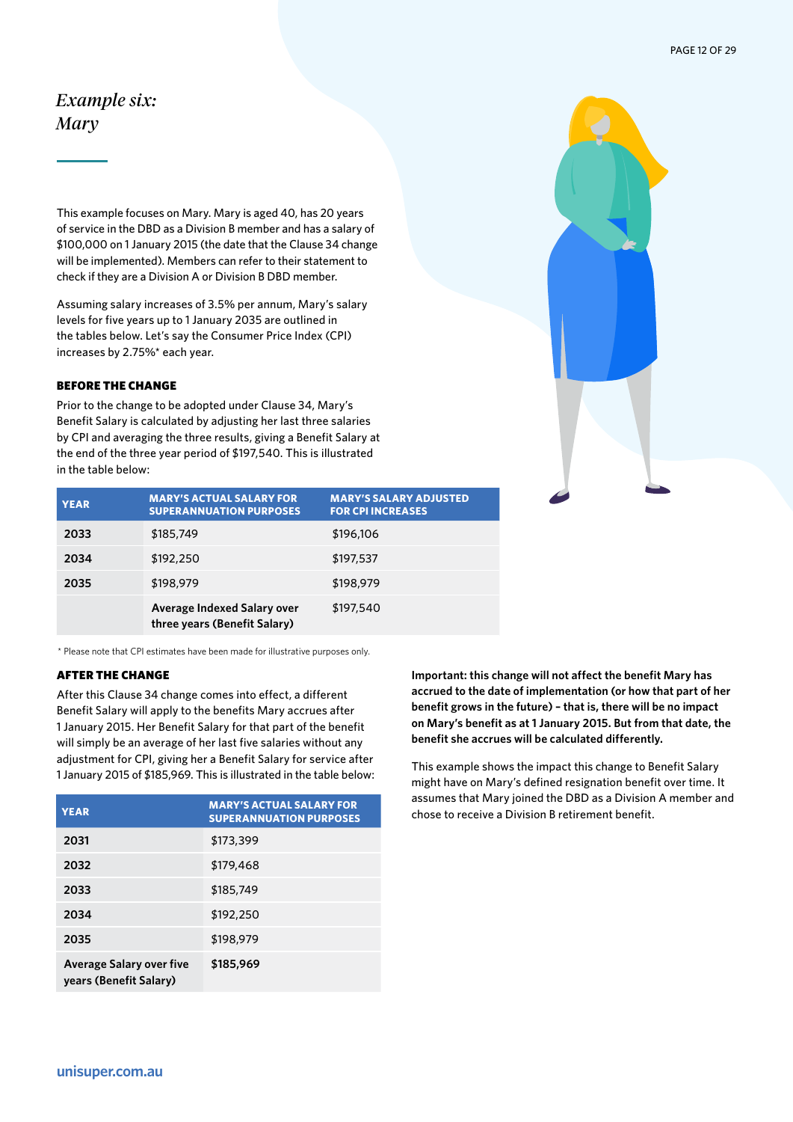# <span id="page-11-0"></span>*Example six: Mary*

This example focuses on Mary. Mary is aged 40, has 20 years of service in the DBD as a Division B member and has a salary of \$100,000 on 1 January 2015 (the date that the Clause 34 change will be implemented). Members can refer to their statement to check if they are a Division A or Division B DBD member.

Assuming salary increases of 3.5% per annum, Mary's salary levels for five years up to 1 January 2035 are outlined in the tables below. Let's say the Consumer Price Index (CPI) increases by 2.75%\* each year.

#### BEFORE THE CHANGE

Prior to the change to be adopted under Clause 34, Mary's Benefit Salary is calculated by adjusting her last three salaries by CPI and averaging the three results, giving a Benefit Salary at the end of the three year period of \$197,540. This is illustrated in the table below:

| <b>YEAR</b> | <b>MARY'S ACTUAL SALARY FOR</b><br><b>SUPERANNUATION PURPOSES</b> | <b>MARY'S SALARY ADJUSTED</b><br><b>FOR CPI INCREASES</b> |
|-------------|-------------------------------------------------------------------|-----------------------------------------------------------|
| 2033        | \$185,749                                                         | \$196,106                                                 |
| 2034        | \$192,250                                                         | \$197,537                                                 |
| 2035        | \$198,979                                                         | \$198,979                                                 |
|             | Average Indexed Salary over<br>three years (Benefit Salary)       | \$197,540                                                 |

\* Please note that CPI estimates have been made for illustrative purposes only.

# AFTER THE CHANGE

After this Clause 34 change comes into effect, a different Benefit Salary will apply to the benefits Mary accrues after 1 January 2015. Her Benefit Salary for that part of the benefit will simply be an average of her last five salaries without any adjustment for CPI, giving her a Benefit Salary for service after 1 January 2015 of \$185,969. This is illustrated in the table below:

| <b>YEAR</b>                                               | <b>MARY'S ACTUAL SALARY FOR</b><br><b>SUPERANNUATION PURPOSES</b> |
|-----------------------------------------------------------|-------------------------------------------------------------------|
| 2031                                                      | \$173,399                                                         |
| 2032                                                      | \$179,468                                                         |
| 2033                                                      | \$185,749                                                         |
| 2034                                                      | \$192,250                                                         |
| 2035                                                      | \$198,979                                                         |
| <b>Average Salary over five</b><br>years (Benefit Salary) | \$185,969                                                         |

**Important: this change will not affect the benefit Mary has accrued to the date of implementation (or how that part of her benefit grows in the future) – that is, there will be no impact on Mary's benefit as at 1 January 2015. But from that date, the benefit she accrues will be calculated differently.** 

This example shows the impact this change to Benefit Salary might have on Mary's defined resignation benefit over time. It assumes that Mary joined the DBD as a Division A member and chose to receive a Division B retirement benefit.

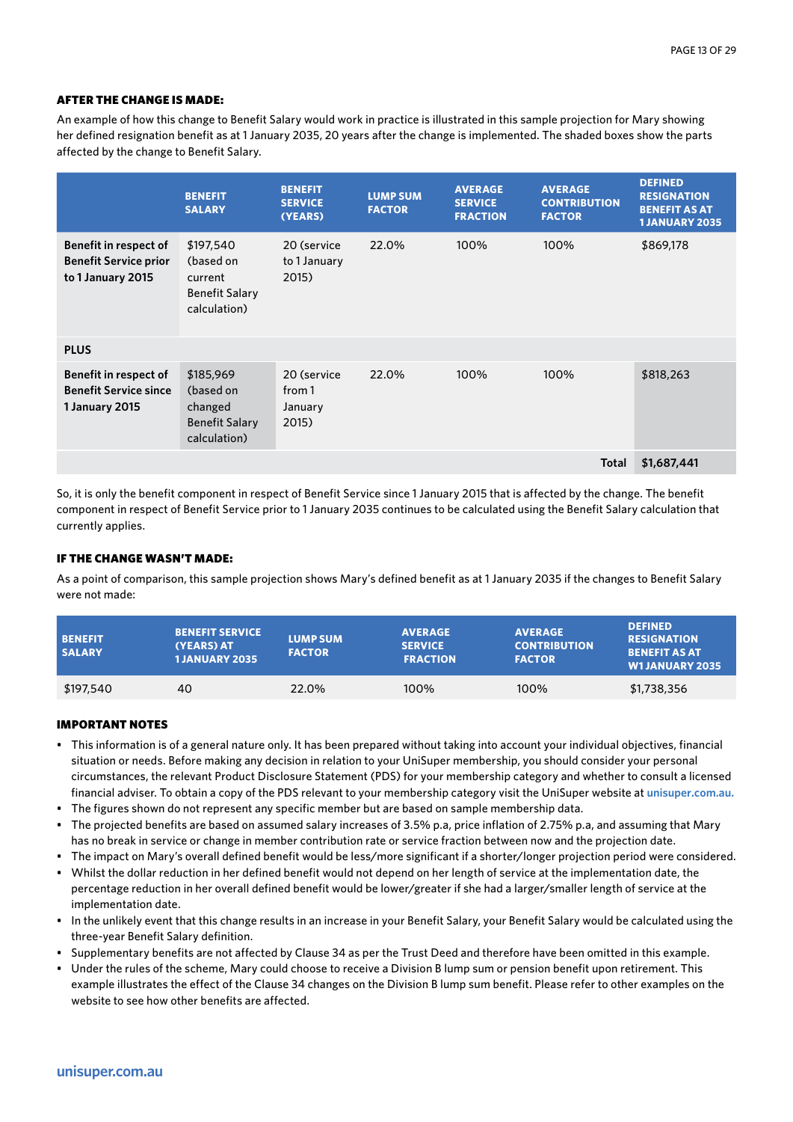An example of how this change to Benefit Salary would work in practice is illustrated in this sample projection for Mary showing her defined resignation benefit as at 1 January 2035, 20 years after the change is implemented. The shaded boxes show the parts affected by the change to Benefit Salary.

|                                                                            | <b>BENEFIT</b><br><b>SALARY</b>                                            | <b>BENEFIT</b><br><b>SERVICE</b><br>(YEARS) | <b>LUMP SUM</b><br><b>FACTOR</b> | <b>AVERAGE</b><br><b>SERVICE</b><br><b>FRACTION</b> | <b>AVERAGE</b><br><b>CONTRIBUTION</b><br><b>FACTOR</b> | <b>DEFINED</b><br><b>RESIGNATION</b><br><b>BENEFIT AS AT</b><br><b>1 JANUARY 2035</b> |
|----------------------------------------------------------------------------|----------------------------------------------------------------------------|---------------------------------------------|----------------------------------|-----------------------------------------------------|--------------------------------------------------------|---------------------------------------------------------------------------------------|
| Benefit in respect of<br><b>Benefit Service prior</b><br>to 1 January 2015 | \$197,540<br>(based on<br>current<br><b>Benefit Salary</b><br>calculation) | 20 (service<br>to 1 January<br>2015)        | 22.0%                            | 100%                                                | 100%                                                   | \$869,178                                                                             |
| <b>PLUS</b>                                                                |                                                                            |                                             |                                  |                                                     |                                                        |                                                                                       |
| Benefit in respect of<br><b>Benefit Service since</b><br>1 January 2015    | \$185,969<br>(based on<br>changed<br><b>Benefit Salary</b><br>calculation) | 20 (service<br>from 1<br>January<br>2015)   | 22.0%                            | 100%                                                | 100%                                                   | \$818,263                                                                             |
|                                                                            |                                                                            |                                             |                                  |                                                     | Total                                                  | \$1,687,441                                                                           |

So, it is only the benefit component in respect of Benefit Service since 1 January 2015 that is affected by the change. The benefit component in respect of Benefit Service prior to 1 January 2035 continues to be calculated using the Benefit Salary calculation that currently applies.

### IF THE CHANGE WASN'T MADE:

As a point of comparison, this sample projection shows Mary's defined benefit as at 1 January 2035 if the changes to Benefit Salary were not made:

| <b>BENEFIT</b><br><b>SALARY</b> | <b>BENEFIT SERVICE</b><br>(YEARS) AT<br><b>1 JANUARY 2035</b> | <b>LUMP SUM</b><br><b>FACTOR</b> | <b>AVERAGE</b><br><b>SERVICE</b><br><b>FRACTION</b> | <b>AVERAGE</b><br><b>CONTRIBUTION</b><br><b>FACTOR</b> | <b>DEFINED</b><br><b>RESIGNATION</b><br><b>BENEFIT AS AT</b><br><b>W1JANUARY 2035</b> |
|---------------------------------|---------------------------------------------------------------|----------------------------------|-----------------------------------------------------|--------------------------------------------------------|---------------------------------------------------------------------------------------|
| \$197,540                       | 40                                                            | 22.0%                            | 100%                                                | 100%                                                   | \$1,738,356                                                                           |

- This information is of a general nature only. It has been prepared without taking into account your individual objectives, financial situation or needs. Before making any decision in relation to your UniSuper membership, you should consider your personal circumstances, the relevant Product Disclosure Statement (PDS) for your membership category and whether to consult a licensed financial adviser. To obtain a copy of the PDS relevant to your membership category visit the UniSuper website at **unisuper.com.au.**
- The figures shown do not represent any specific member but are based on sample membership data.
- The projected benefits are based on assumed salary increases of 3.5% p.a, price inflation of 2.75% p.a, and assuming that Mary has no break in service or change in member contribution rate or service fraction between now and the projection date.
- The impact on Mary's overall defined benefit would be less/more significant if a shorter/longer projection period were considered.
- Whilst the dollar reduction in her defined benefit would not depend on her length of service at the implementation date, the percentage reduction in her overall defined benefit would be lower/greater if she had a larger/smaller length of service at the implementation date.
- In the unlikely event that this change results in an increase in your Benefit Salary, your Benefit Salary would be calculated using the three-year Benefit Salary definition.
- Supplementary benefits are not affected by Clause 34 as per the Trust Deed and therefore have been omitted in this example.
- Under the rules of the scheme, Mary could choose to receive a Division B lump sum or pension benefit upon retirement. This example illustrates the effect of the Clause 34 changes on the Division B lump sum benefit. Please refer to other examples on the website to see how other benefits are affected.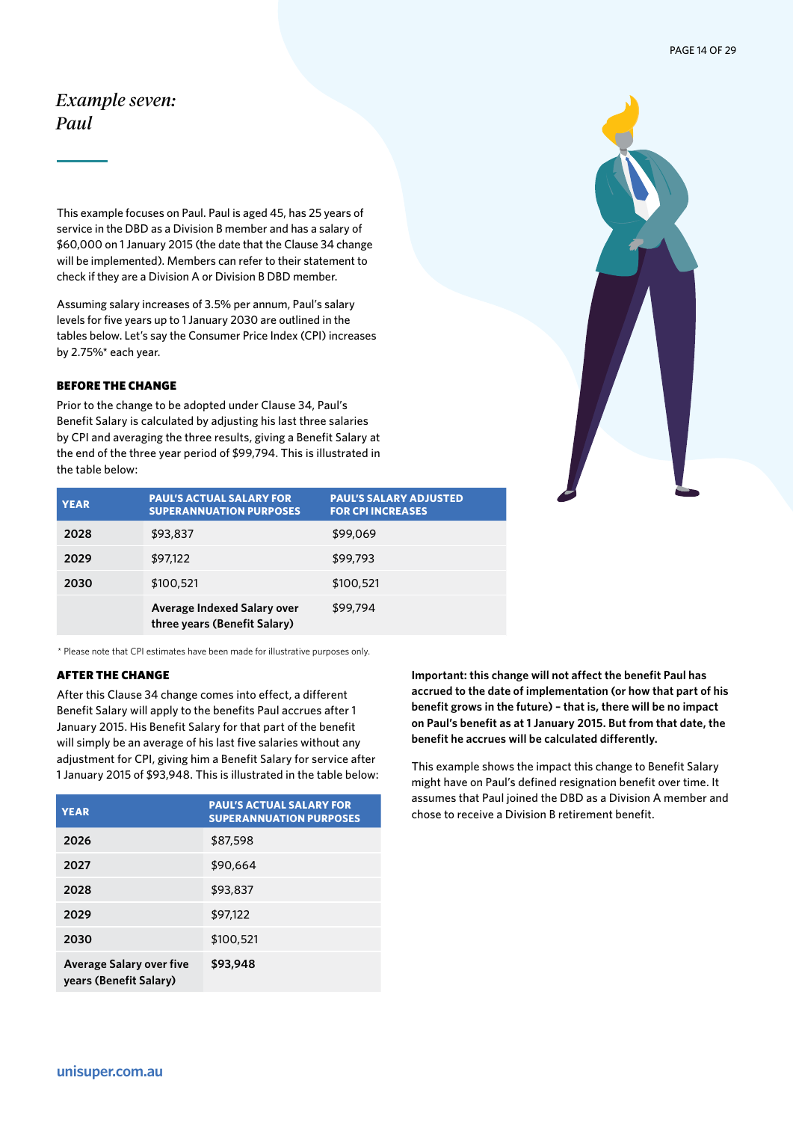# <span id="page-13-0"></span>*Example seven: Paul*

This example focuses on Paul. Paul is aged 45, has 25 years of service in the DBD as a Division B member and has a salary of \$60,000 on 1 January 2015 (the date that the Clause 34 change will be implemented). Members can refer to their statement to check if they are a Division A or Division B DBD member.

Assuming salary increases of 3.5% per annum, Paul's salary levels for five years up to 1 January 2030 are outlined in the tables below. Let's say the Consumer Price Index (CPI) increases by 2.75%\* each year.

### BEFORE THE CHANGE

Prior to the change to be adopted under Clause 34, Paul's Benefit Salary is calculated by adjusting his last three salaries by CPI and averaging the three results, giving a Benefit Salary at the end of the three year period of \$99,794. This is illustrated in the table below:



| <b>YEAR</b> | <b>PAUL'S ACTUAL SALARY FOR</b><br><b>SUPERANNUATION PURPOSES</b> | <b>PAUL'S SALARY ADJUSTED</b><br><b>FOR CPI INCREASES</b> |
|-------------|-------------------------------------------------------------------|-----------------------------------------------------------|
| 2028        | \$93,837                                                          | \$99,069                                                  |
| 2029        | \$97,122                                                          | \$99,793                                                  |
| 2030        | \$100,521                                                         | \$100,521                                                 |
|             | Average Indexed Salary over<br>three years (Benefit Salary)       | \$99.794                                                  |

\* Please note that CPI estimates have been made for illustrative purposes only.

# AFTER THE CHANGE

After this Clause 34 change comes into effect, a different Benefit Salary will apply to the benefits Paul accrues after 1 January 2015. His Benefit Salary for that part of the benefit will simply be an average of his last five salaries without any adjustment for CPI, giving him a Benefit Salary for service after 1 January 2015 of \$93,948. This is illustrated in the table below:

| <b>YEAR</b>                                               | <b>PAUL'S ACTUAL SALARY FOR</b><br><b>SUPERANNUATION PURPOSES</b> |
|-----------------------------------------------------------|-------------------------------------------------------------------|
| 2026                                                      | \$87,598                                                          |
| 2027                                                      | \$90,664                                                          |
| 2028                                                      | \$93,837                                                          |
| 2029                                                      | \$97,122                                                          |
| 2030                                                      | \$100,521                                                         |
| <b>Average Salary over five</b><br>years (Benefit Salary) | \$93,948                                                          |

**Important: this change will not affect the benefit Paul has accrued to the date of implementation (or how that part of his benefit grows in the future) – that is, there will be no impact on Paul's benefit as at 1 January 2015. But from that date, the benefit he accrues will be calculated differently.**

This example shows the impact this change to Benefit Salary might have on Paul's defined resignation benefit over time. It assumes that Paul joined the DBD as a Division A member and chose to receive a Division B retirement benefit.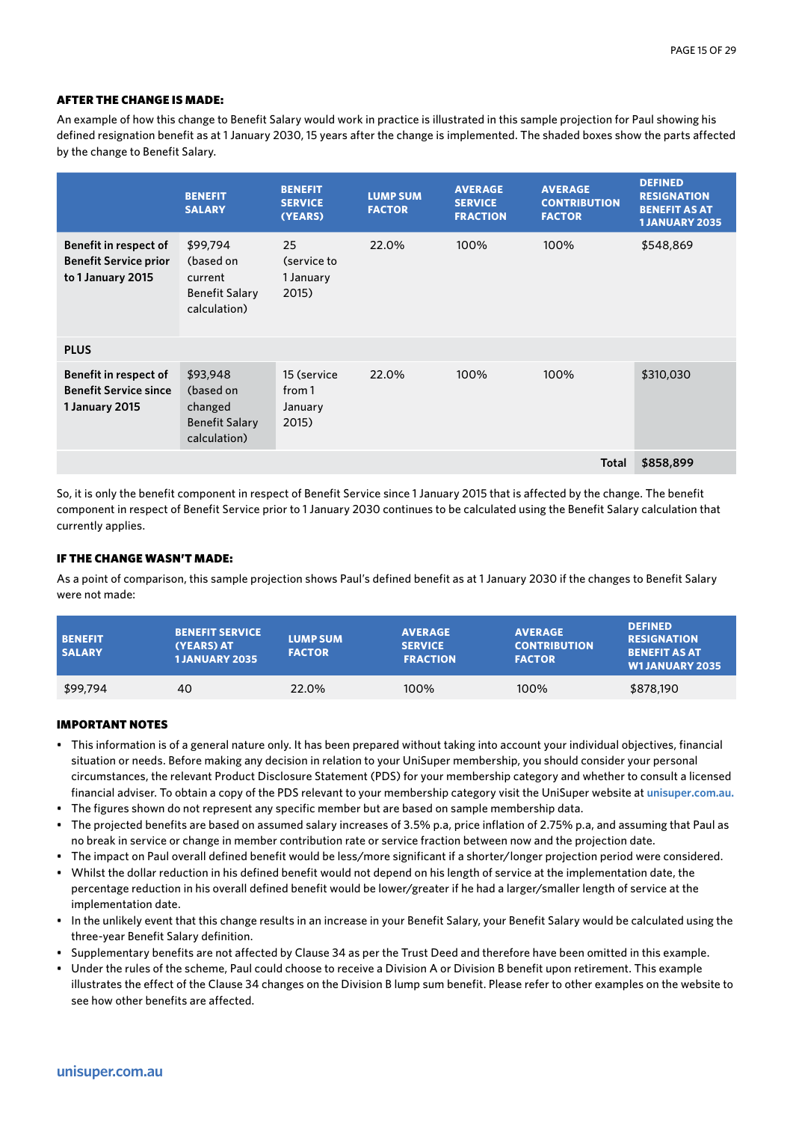An example of how this change to Benefit Salary would work in practice is illustrated in this sample projection for Paul showing his defined resignation benefit as at 1 January 2030, 15 years after the change is implemented. The shaded boxes show the parts affected by the change to Benefit Salary.

|                                                                                | <b>BENEFIT</b><br><b>SALARY</b>                                           | <b>BENEFIT</b><br><b>SERVICE</b><br>(YEARS) | <b>LUMP SUM</b><br><b>FACTOR</b> | <b>AVERAGE</b><br><b>SERVICE</b><br><b>FRACTION</b> | <b>AVERAGE</b><br><b>CONTRIBUTION</b><br><b>FACTOR</b> | <b>DEFINED</b><br><b>RESIGNATION</b><br><b>BENEFIT AS AT</b><br><b>1 JANUARY 2035</b> |
|--------------------------------------------------------------------------------|---------------------------------------------------------------------------|---------------------------------------------|----------------------------------|-----------------------------------------------------|--------------------------------------------------------|---------------------------------------------------------------------------------------|
| Benefit in respect of<br><b>Benefit Service prior</b><br>to 1 January 2015     | \$99,794<br>(based on<br>current<br><b>Benefit Salary</b><br>calculation) | 25<br>(service to<br>1 January<br>2015)     | 22.0%                            | 100%                                                | 100%                                                   | \$548,869                                                                             |
| <b>PLUS</b>                                                                    |                                                                           |                                             |                                  |                                                     |                                                        |                                                                                       |
| <b>Benefit in respect of</b><br><b>Benefit Service since</b><br>1 January 2015 | \$93,948<br>(based on<br>changed<br><b>Benefit Salary</b><br>calculation) | 15 (service<br>from 1<br>January<br>2015)   | 22.0%                            | 100%                                                | 100%                                                   | \$310,030                                                                             |
|                                                                                |                                                                           |                                             |                                  |                                                     | <b>Total</b>                                           | \$858,899                                                                             |

So, it is only the benefit component in respect of Benefit Service since 1 January 2015 that is affected by the change. The benefit component in respect of Benefit Service prior to 1 January 2030 continues to be calculated using the Benefit Salary calculation that currently applies.

# IF THE CHANGE WASN'T MADE:

As a point of comparison, this sample projection shows Paul's defined benefit as at 1 January 2030 if the changes to Benefit Salary were not made:

| <b>BENEFIT</b><br><b>SALARY</b> | <b>BENEFIT SERVICE</b><br>(YEARS) AT<br><b>1 JANUARY 2035</b> | <b>LUMP SUM</b><br><b>FACTOR</b> | <b>AVERAGE</b><br><b>SERVICE</b><br><b>FRACTION</b> | <b>AVERAGE</b><br><b>CONTRIBUTION</b><br><b>FACTOR</b> | <b>DEFINED</b><br><b>RESIGNATION</b><br><b>BENEFIT AS AT</b><br><b>W1JANUARY 2035</b> |
|---------------------------------|---------------------------------------------------------------|----------------------------------|-----------------------------------------------------|--------------------------------------------------------|---------------------------------------------------------------------------------------|
| \$99,794                        | 40                                                            | 22.0%                            | 100%                                                | 100%                                                   | \$878,190                                                                             |

- This information is of a general nature only. It has been prepared without taking into account your individual objectives, financial situation or needs. Before making any decision in relation to your UniSuper membership, you should consider your personal circumstances, the relevant Product Disclosure Statement (PDS) for your membership category and whether to consult a licensed financial adviser. To obtain a copy of the PDS relevant to your membership category visit the UniSuper website at **unisuper.com.au.**
- The figures shown do not represent any specific member but are based on sample membership data.
- The projected benefits are based on assumed salary increases of 3.5% p.a, price inflation of 2.75% p.a, and assuming that Paul as no break in service or change in member contribution rate or service fraction between now and the projection date.
- The impact on Paul overall defined benefit would be less/more significant if a shorter/longer projection period were considered.
- Whilst the dollar reduction in his defined benefit would not depend on his length of service at the implementation date, the percentage reduction in his overall defined benefit would be lower/greater if he had a larger/smaller length of service at the implementation date.
- In the unlikely event that this change results in an increase in your Benefit Salary, your Benefit Salary would be calculated using the three-year Benefit Salary definition.
- Supplementary benefits are not affected by Clause 34 as per the Trust Deed and therefore have been omitted in this example.
- Under the rules of the scheme, Paul could choose to receive a Division A or Division B benefit upon retirement. This example illustrates the effect of the Clause 34 changes on the Division B lump sum benefit. Please refer to other examples on the website to see how other benefits are affected.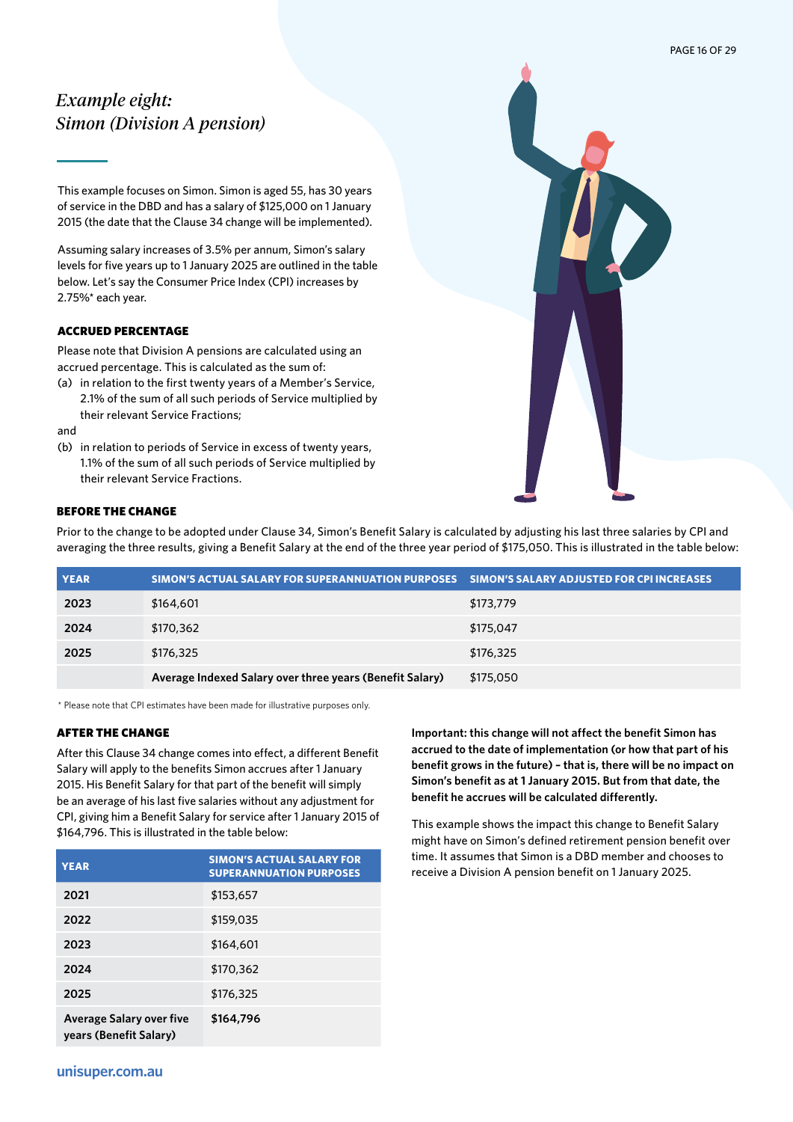# <span id="page-15-0"></span>*Example eight: Simon (Division A pension)*

This example focuses on Simon. Simon is aged 55, has 30 years of service in the DBD and has a salary of \$125,000 on 1 January 2015 (the date that the Clause 34 change will be implemented).

Assuming salary increases of 3.5% per annum, Simon's salary levels for five years up to 1 January 2025 are outlined in the table below. Let's say the Consumer Price Index (CPI) increases by 2.75%\* each year.

# ACCRUED PERCENTAGE

Please note that Division A pensions are calculated using an accrued percentage. This is calculated as the sum of:

(a) in relation to the first twenty years of a Member's Service, 2.1% of the sum of all such periods of Service multiplied by their relevant Service Fractions;

and

(b) in relation to periods of Service in excess of twenty years, 1.1% of the sum of all such periods of Service multiplied by their relevant Service Fractions.



# BEFORE THE CHANGE

Prior to the change to be adopted under Clause 34, Simon's Benefit Salary is calculated by adjusting his last three salaries by CPI and averaging the three results, giving a Benefit Salary at the end of the three year period of \$175,050. This is illustrated in the table below:

| <b>YEAR</b> | SIMON'S ACTUAL SALARY FOR SUPERANNUATION PURPOSES SIMON'S SALARY ADJUSTED FOR CPI INCREASES |           |
|-------------|---------------------------------------------------------------------------------------------|-----------|
| 2023        | \$164,601                                                                                   | \$173,779 |
| 2024        | \$170,362                                                                                   | \$175,047 |
| 2025        | \$176,325                                                                                   | \$176,325 |
|             | Average Indexed Salary over three years (Benefit Salary)                                    | \$175,050 |

\* Please note that CPI estimates have been made for illustrative purposes only.

#### AFTER THE CHANGE

After this Clause 34 change comes into effect, a different Benefit Salary will apply to the benefits Simon accrues after 1 January 2015. His Benefit Salary for that part of the benefit will simply be an average of his last five salaries without any adjustment for CPI, giving him a Benefit Salary for service after 1 January 2015 of \$164,796. This is illustrated in the table below:

| <b>YEAR</b>                                               | <b>SIMON'S ACTUAL SALARY FOR</b><br><b>SUPERANNUATION PURPOSES</b> |
|-----------------------------------------------------------|--------------------------------------------------------------------|
| 2021                                                      | \$153,657                                                          |
| 2022                                                      | \$159,035                                                          |
| 2023                                                      | \$164,601                                                          |
| 2024                                                      | \$170,362                                                          |
| 2025                                                      | \$176,325                                                          |
| <b>Average Salary over five</b><br>years (Benefit Salary) | \$164,796                                                          |

**Important: this change will not affect the benefit Simon has accrued to the date of implementation (or how that part of his benefit grows in the future) – that is, there will be no impact on Simon's benefit as at 1 January 2015. But from that date, the benefit he accrues will be calculated differently.** 

This example shows the impact this change to Benefit Salary might have on Simon's defined retirement pension benefit over time. It assumes that Simon is a DBD member and chooses to receive a Division A pension benefit on 1 January 2025.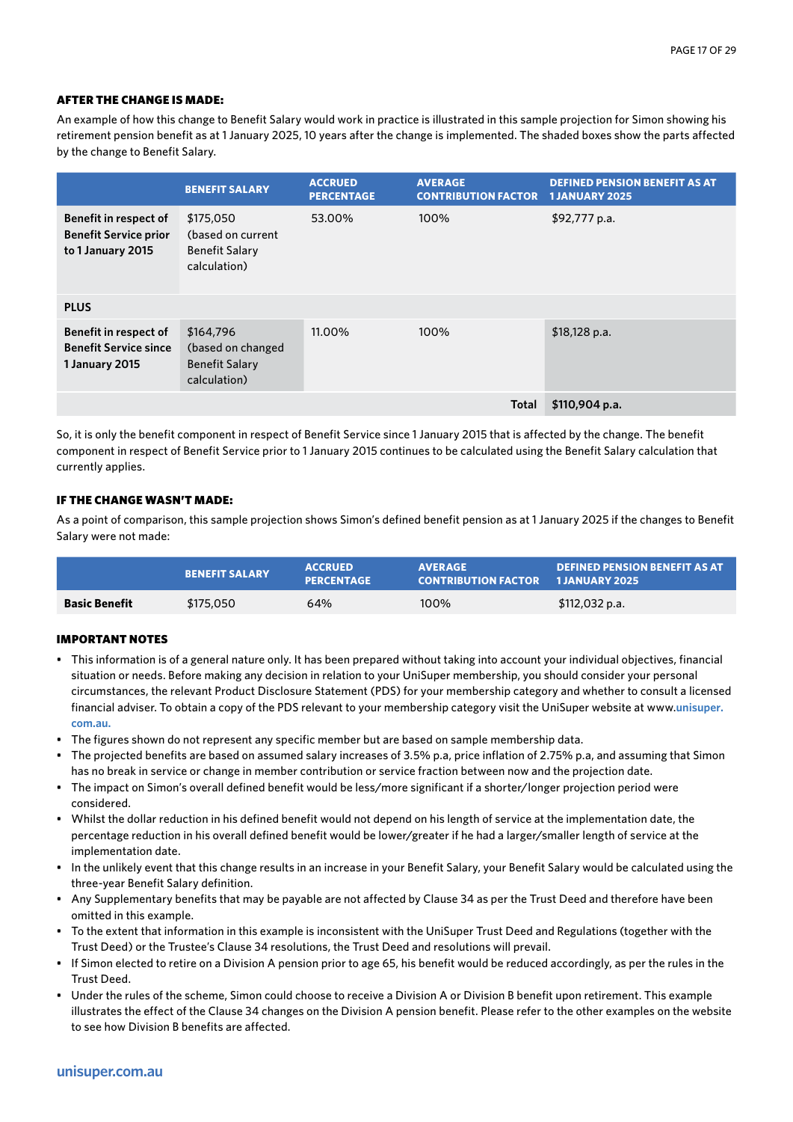An example of how this change to Benefit Salary would work in practice is illustrated in this sample projection for Simon showing his retirement pension benefit as at 1 January 2025, 10 years after the change is implemented. The shaded boxes show the parts affected by the change to Benefit Salary.

|                                                                            | <b>BENEFIT SALARY</b>                                                   | <b>ACCRUED</b><br><b>PERCENTAGE</b> | <b>AVERAGE</b><br><b>CONTRIBUTION FACTOR</b> | <b>DEFINED PENSION BENEFIT AS AT</b><br><b>1JANUARY 2025</b> |
|----------------------------------------------------------------------------|-------------------------------------------------------------------------|-------------------------------------|----------------------------------------------|--------------------------------------------------------------|
| Benefit in respect of<br><b>Benefit Service prior</b><br>to 1 January 2015 | \$175,050<br>(based on current<br><b>Benefit Salary</b><br>calculation) | 53.00%                              | 100%                                         | \$92,777 p.a.                                                |
| <b>PLUS</b>                                                                |                                                                         |                                     |                                              |                                                              |
| Benefit in respect of<br><b>Benefit Service since</b><br>1 January 2015    | \$164,796<br>(based on changed<br><b>Benefit Salary</b><br>calculation) | 11.00%                              | 100%                                         | $$18,128$ p.a.                                               |
|                                                                            |                                                                         |                                     | Total                                        | $$110,904$ p.a.                                              |

So, it is only the benefit component in respect of Benefit Service since 1 January 2015 that is affected by the change. The benefit component in respect of Benefit Service prior to 1 January 2015 continues to be calculated using the Benefit Salary calculation that currently applies.

# IF THE CHANGE WASN'T MADE:

As a point of comparison, this sample projection shows Simon's defined benefit pension as at 1 January 2025 if the changes to Benefit Salary were not made:

|                      | <b>BENEFIT SALARY</b> | <b>ACCRUED</b><br><b>PERCENTAGE</b> | <b>AVERAGE</b><br><b>CONTRIBUTION FACTOR 1 JANUARY 2025</b> | <b>DEFINED PENSION BENEFIT AS AT</b> |
|----------------------|-----------------------|-------------------------------------|-------------------------------------------------------------|--------------------------------------|
| <b>Basic Benefit</b> | \$175,050             | 64%                                 | 100%                                                        | \$112,032 p.a.                       |

- This information is of a general nature only. It has been prepared without taking into account your individual objectives, financial situation or needs. Before making any decision in relation to your UniSuper membership, you should consider your personal circumstances, the relevant Product Disclosure Statement (PDS) for your membership category and whether to consult a licensed financial adviser. To obtain a copy of the PDS relevant to your membership category visit the UniSuper website at www.**unisuper. com.au.**
- The figures shown do not represent any specific member but are based on sample membership data.
- The projected benefits are based on assumed salary increases of 3.5% p.a, price inflation of 2.75% p.a, and assuming that Simon has no break in service or change in member contribution or service fraction between now and the projection date.
- The impact on Simon's overall defined benefit would be less/more significant if a shorter/longer projection period were considered.
- Whilst the dollar reduction in his defined benefit would not depend on his length of service at the implementation date, the percentage reduction in his overall defined benefit would be lower/greater if he had a larger/smaller length of service at the implementation date.
- In the unlikely event that this change results in an increase in your Benefit Salary, your Benefit Salary would be calculated using the three-year Benefit Salary definition.
- Any Supplementary benefits that may be payable are not affected by Clause 34 as per the Trust Deed and therefore have been omitted in this example.
- To the extent that information in this example is inconsistent with the UniSuper Trust Deed and Regulations (together with the Trust Deed) or the Trustee's Clause 34 resolutions, the Trust Deed and resolutions will prevail.
- If Simon elected to retire on a Division A pension prior to age 65, his benefit would be reduced accordingly, as per the rules in the Trust Deed.
- Under the rules of the scheme, Simon could choose to receive a Division A or Division B benefit upon retirement. This example illustrates the effect of the Clause 34 changes on the Division A pension benefit. Please refer to the other examples on the website to see how Division B benefits are affected.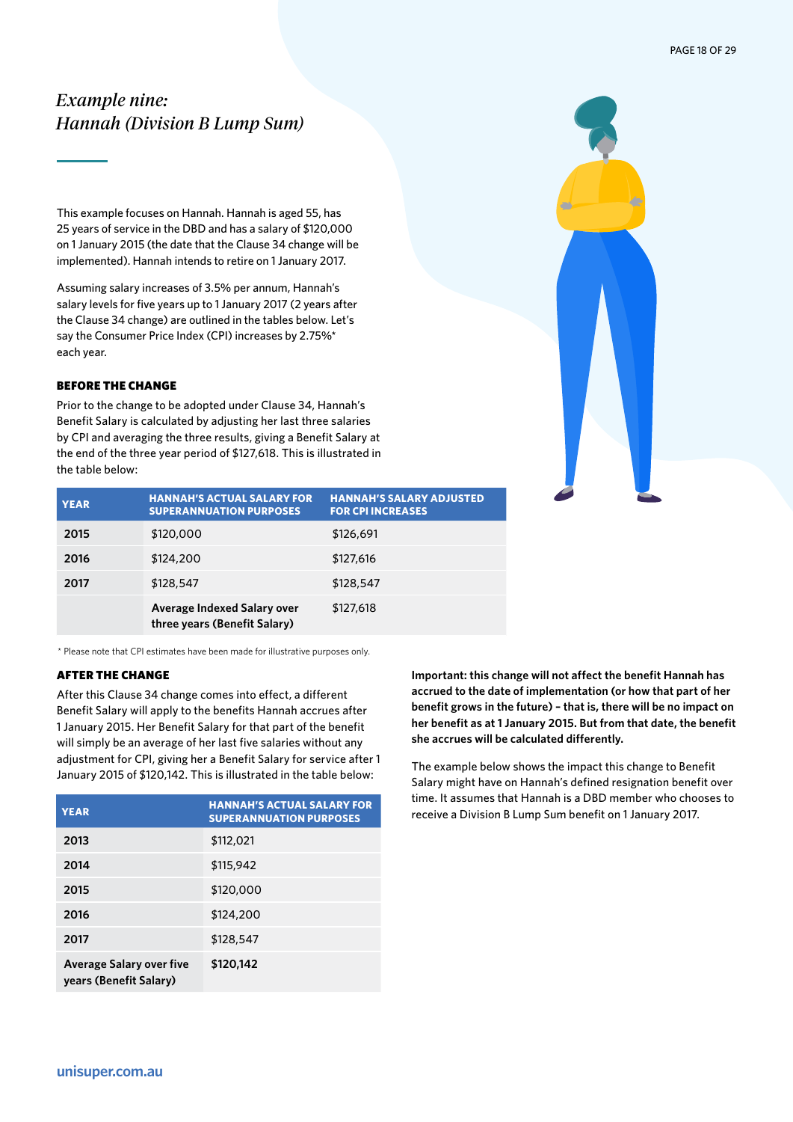# <span id="page-17-0"></span>*Example nine: Hannah (Division B Lump Sum)*

This example focuses on Hannah. Hannah is aged 55, has 25 years of service in the DBD and has a salary of \$120,000 on 1 January 2015 (the date that the Clause 34 change will be implemented). Hannah intends to retire on 1 January 2017.

Assuming salary increases of 3.5% per annum, Hannah's salary levels for five years up to 1 January 2017 (2 years after the Clause 34 change) are outlined in the tables below. Let's say the Consumer Price Index (CPI) increases by 2.75%\* each year.

# BEFORE THE CHANGE

Prior to the change to be adopted under Clause 34, Hannah's Benefit Salary is calculated by adjusting her last three salaries by CPI and averaging the three results, giving a Benefit Salary at the end of the three year period of \$127,618. This is illustrated in the table below:

| <b>YEAR</b> | <b>HANNAH'S ACTUAL SALARY FOR</b><br><b>SUPERANNUATION PURPOSES</b> | <b>HANNAH'S SALARY ADJUSTED</b><br><b>FOR CPI INCREASES</b> |
|-------------|---------------------------------------------------------------------|-------------------------------------------------------------|
| 2015        | \$120,000                                                           | \$126,691                                                   |
| 2016        | \$124,200                                                           | \$127,616                                                   |
| 2017        | \$128,547                                                           | \$128,547                                                   |
|             | Average Indexed Salary over<br>three years (Benefit Salary)         | \$127,618                                                   |

\* Please note that CPI estimates have been made for illustrative purposes only.

# AFTER THE CHANGE

After this Clause 34 change comes into effect, a different Benefit Salary will apply to the benefits Hannah accrues after 1 January 2015. Her Benefit Salary for that part of the benefit will simply be an average of her last five salaries without any adjustment for CPI, giving her a Benefit Salary for service after 1 January 2015 of \$120,142. This is illustrated in the table below:

| <b>YEAR</b>                                               | <b>HANNAH'S ACTUAL SALARY FOR</b><br><b>SUPERANNUATION PURPOSES</b> |
|-----------------------------------------------------------|---------------------------------------------------------------------|
| 2013                                                      | \$112,021                                                           |
| 2014                                                      | \$115,942                                                           |
| 2015                                                      | \$120,000                                                           |
| 2016                                                      | \$124,200                                                           |
| 2017                                                      | \$128,547                                                           |
| <b>Average Salary over five</b><br>years (Benefit Salary) | \$120.142                                                           |

**Important: this change will not affect the benefit Hannah has accrued to the date of implementation (or how that part of her benefit grows in the future) – that is, there will be no impact on her benefit as at 1 January 2015. But from that date, the benefit she accrues will be calculated differently.**

The example below shows the impact this change to Benefit Salary might have on Hannah's defined resignation benefit over time. It assumes that Hannah is a DBD member who chooses to receive a Division B Lump Sum benefit on 1 January 2017.

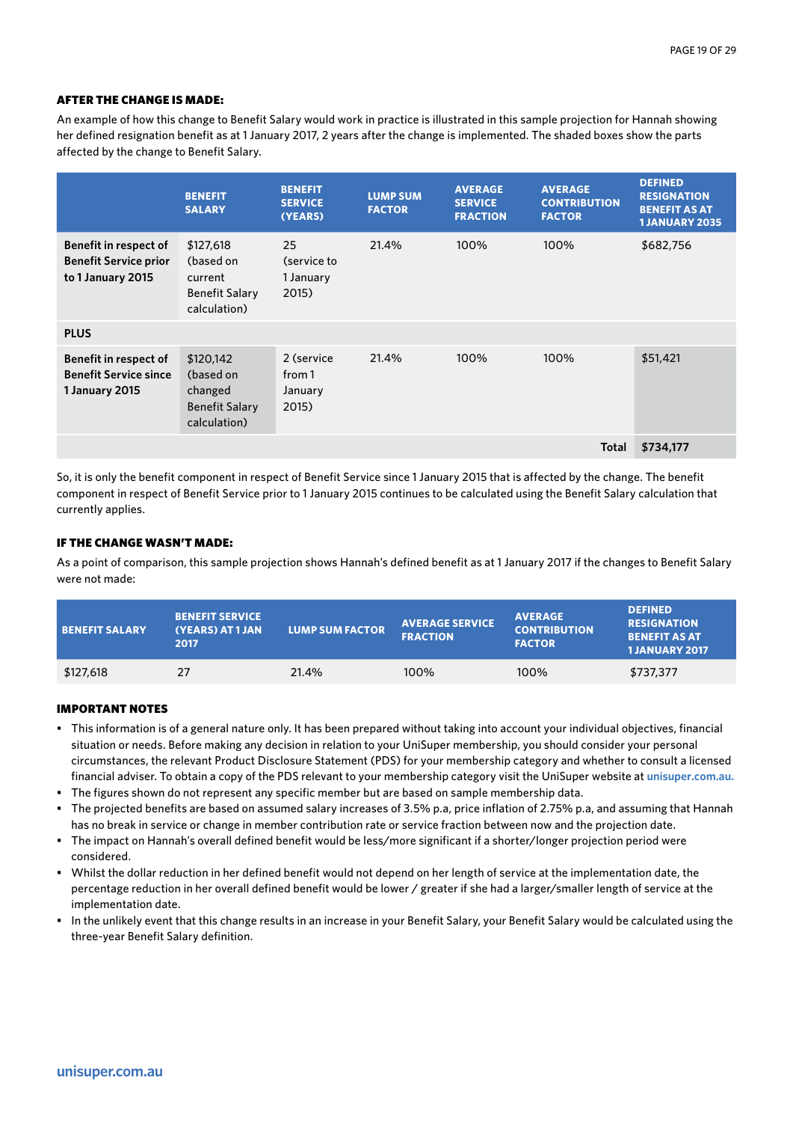An example of how this change to Benefit Salary would work in practice is illustrated in this sample projection for Hannah showing her defined resignation benefit as at 1 January 2017, 2 years after the change is implemented. The shaded boxes show the parts affected by the change to Benefit Salary.

|                                                                                   | <b>BENEFIT</b><br><b>SALARY</b>                                            | <b>BENEFIT</b><br><b>SERVICE</b><br>(YEARS) | <b>LUMP SUM</b><br><b>FACTOR</b> | <b>AVERAGE</b><br><b>SERVICE</b><br><b>FRACTION</b> | <b>AVERAGE</b><br><b>CONTRIBUTION</b><br><b>FACTOR</b> | <b>DEFINED</b><br><b>RESIGNATION</b><br><b>BENEFIT AS AT</b><br><b>1 JANUARY 2035</b> |
|-----------------------------------------------------------------------------------|----------------------------------------------------------------------------|---------------------------------------------|----------------------------------|-----------------------------------------------------|--------------------------------------------------------|---------------------------------------------------------------------------------------|
| <b>Benefit in respect of</b><br><b>Benefit Service prior</b><br>to 1 January 2015 | \$127,618<br>(based on<br>current<br><b>Benefit Salary</b><br>calculation) | 25<br>(service to<br>1 January<br>2015)     | 21.4%                            | 100%                                                | 100%                                                   | \$682,756                                                                             |
| <b>PLUS</b>                                                                       |                                                                            |                                             |                                  |                                                     |                                                        |                                                                                       |
| Benefit in respect of<br><b>Benefit Service since</b><br>1 January 2015           | \$120,142<br>(based on<br>changed<br><b>Benefit Salary</b><br>calculation) | 2 (service<br>from 1<br>January<br>2015)    | 21.4%                            | 100%                                                | 100%                                                   | \$51,421                                                                              |
|                                                                                   |                                                                            |                                             |                                  |                                                     | <b>Total</b>                                           | \$734,177                                                                             |

So, it is only the benefit component in respect of Benefit Service since 1 January 2015 that is affected by the change. The benefit component in respect of Benefit Service prior to 1 January 2015 continues to be calculated using the Benefit Salary calculation that currently applies.

# IF THE CHANGE WASN'T MADE:

As a point of comparison, this sample projection shows Hannah's defined benefit as at 1 January 2017 if the changes to Benefit Salary were not made:

| <b>BENEFIT SALARY</b> | <b>BENEFIT SERVICE</b><br>(YEARS) AT 1 JAN<br>2017 | <b>LUMP SUM FACTOR</b> | <b>AVERAGE SERVICE</b><br><b>FRACTION</b> | <b>AVERAGE</b><br><b>CONTRIBUTION</b><br><b>FACTOR</b> | <b>DEFINED</b><br><b>RESIGNATION</b><br><b>BENEFIT AS AT</b><br><b>1JANUARY 2017</b> |
|-----------------------|----------------------------------------------------|------------------------|-------------------------------------------|--------------------------------------------------------|--------------------------------------------------------------------------------------|
| \$127,618             | 27                                                 | 21.4%                  | 100%                                      | 100%                                                   | \$737,377                                                                            |

- This information is of a general nature only. It has been prepared without taking into account your individual objectives, financial situation or needs. Before making any decision in relation to your UniSuper membership, you should consider your personal circumstances, the relevant Product Disclosure Statement (PDS) for your membership category and whether to consult a licensed financial adviser. To obtain a copy of the PDS relevant to your membership category visit the UniSuper website at **unisuper.com.au.**
- The figures shown do not represent any specific member but are based on sample membership data.
- The projected benefits are based on assumed salary increases of 3.5% p.a, price inflation of 2.75% p.a, and assuming that Hannah has no break in service or change in member contribution rate or service fraction between now and the projection date.
- The impact on Hannah's overall defined benefit would be less/more significant if a shorter/longer projection period were considered.
- Whilst the dollar reduction in her defined benefit would not depend on her length of service at the implementation date, the percentage reduction in her overall defined benefit would be lower / greater if she had a larger/smaller length of service at the implementation date.
- In the unlikely event that this change results in an increase in your Benefit Salary, your Benefit Salary would be calculated using the three-year Benefit Salary definition.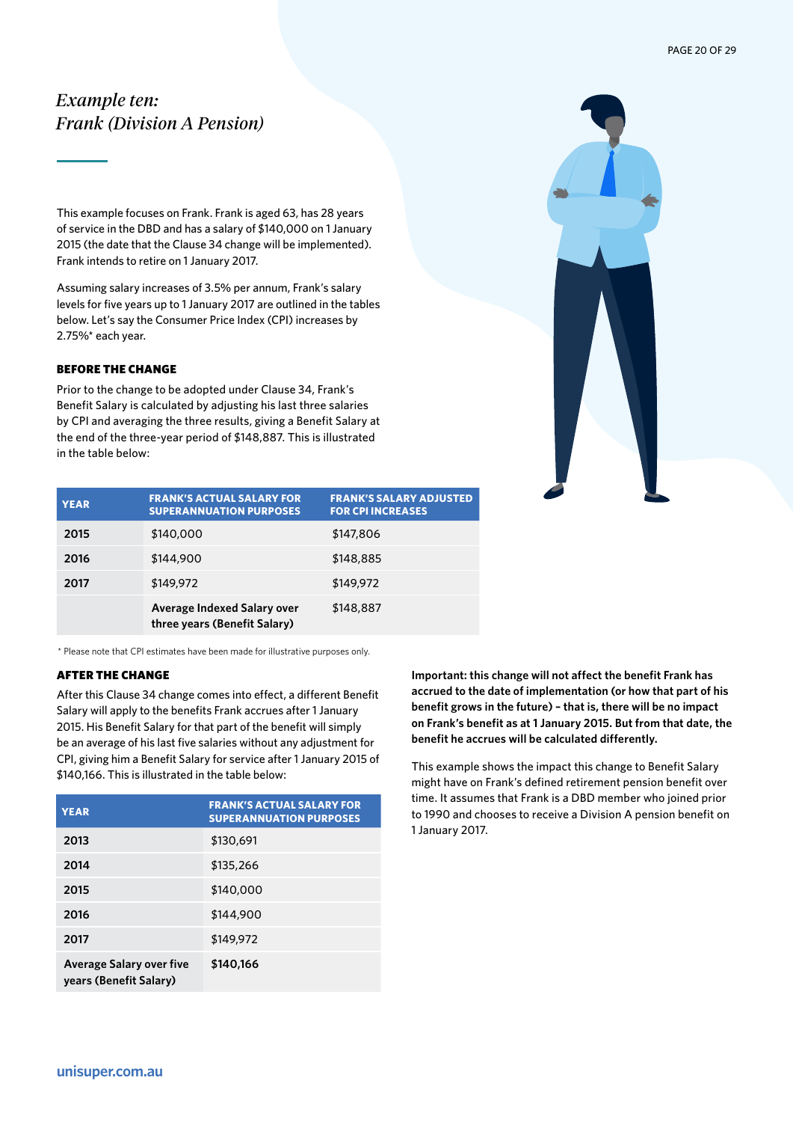# <span id="page-19-0"></span>*Example ten: Frank (Division A Pension)*

This example focuses on Frank. Frank is aged 63, has 28 years of service in the DBD and has a salary of \$140,000 on 1 January 2015 (the date that the Clause 34 change will be implemented). Frank intends to retire on 1 January 2017.

Assuming salary increases of 3.5% per annum, Frank's salary levels for five years up to 1 January 2017 are outlined in the tables below. Let's say the Consumer Price Index (CPI) increases by 2.75%\* each year.

# BEFORE THE CHANGE

Prior to the change to be adopted under Clause 34, Frank's Benefit Salary is calculated by adjusting his last three salaries by CPI and averaging the three results, giving a Benefit Salary at the end of the three-year period of \$148,887. This is illustrated in the table below:



| <b>YEAR</b> | <b>FRANK'S ACTUAL SALARY FOR</b><br><b>SUPERANNUATION PURPOSES</b> | <b>FRANK'S SALARY ADJUSTED</b><br><b>FOR CPI INCREASES</b> |
|-------------|--------------------------------------------------------------------|------------------------------------------------------------|
| 2015        | \$140,000                                                          | \$147,806                                                  |
| 2016        | \$144,900                                                          | \$148,885                                                  |
| 2017        | \$149,972                                                          | \$149,972                                                  |
|             | Average Indexed Salary over<br>three years (Benefit Salary)        | \$148,887                                                  |

\* Please note that CPI estimates have been made for illustrative purposes only.

# AFTER THE CHANGE

After this Clause 34 change comes into effect, a different Benefit Salary will apply to the benefits Frank accrues after 1 January 2015. His Benefit Salary for that part of the benefit will simply be an average of his last five salaries without any adjustment for CPI, giving him a Benefit Salary for service after 1 January 2015 of \$140,166. This is illustrated in the table below:

| <b>YEAR</b>                                               | <b>FRANK'S ACTUAL SALARY FOR</b><br><b>SUPERANNUATION PURPOSES</b> |
|-----------------------------------------------------------|--------------------------------------------------------------------|
| 2013                                                      | \$130,691                                                          |
| 2014                                                      | \$135,266                                                          |
| 2015                                                      | \$140,000                                                          |
| 2016                                                      | \$144,900                                                          |
| 2017                                                      | \$149,972                                                          |
| <b>Average Salary over five</b><br>years (Benefit Salary) | \$140.166                                                          |

**Important: this change will not affect the benefit Frank has accrued to the date of implementation (or how that part of his benefit grows in the future) – that is, there will be no impact on Frank's benefit as at 1 January 2015. But from that date, the benefit he accrues will be calculated differently.**

This example shows the impact this change to Benefit Salary might have on Frank's defined retirement pension benefit over time. It assumes that Frank is a DBD member who joined prior to 1990 and chooses to receive a Division A pension benefit on 1 January 2017.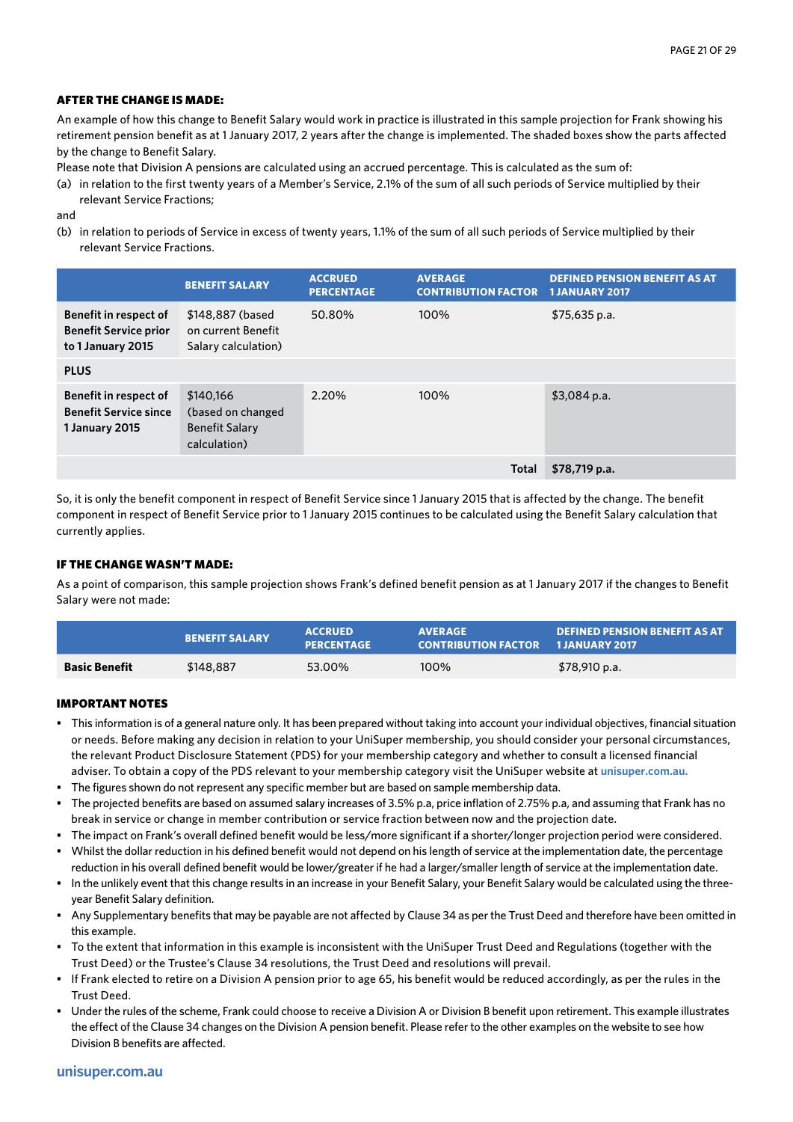An example of how this change to Benefit Salary would work in practice is illustrated in this sample projection for Frank showing his retirement pension benefit as at 1 January 2017, 2 years after the change is implemented. The shaded boxes show the parts affected by the change to Benefit Salary.

Please note that Division A pensions are calculated using an accrued percentage. This is calculated as the sum of:

(a) in relation to the first twenty years of a Member's Service, 2.1% of the sum of all such periods of Service multiplied by their relevant Service Fractions;

and

(b) in relation to periods of Service in excess of twenty years, 1.1% of the sum of all such periods of Service multiplied by their relevant Service Fractions.

|                                                                            | <b>BENEFIT SALARY</b>                                                   | <b>ACCRUED</b><br><b>PERCENTAGE</b> | <b>AVERAGE</b><br><b>CONTRIBUTION FACTOR 1 JANUARY 2017</b> | <b>DEFINED PENSION BENEFIT AS AT</b> |
|----------------------------------------------------------------------------|-------------------------------------------------------------------------|-------------------------------------|-------------------------------------------------------------|--------------------------------------|
| Benefit in respect of<br><b>Benefit Service prior</b><br>to 1 January 2015 | \$148,887 (based<br>on current Benefit<br>Salary calculation)           | 50.80%                              | 100%                                                        | $$75,635$ p.a.                       |
| <b>PLUS</b>                                                                |                                                                         |                                     |                                                             |                                      |
| Benefit in respect of<br><b>Benefit Service since</b><br>1 January 2015    | \$140.166<br>(based on changed<br><b>Benefit Salary</b><br>calculation) | 2.20%                               | 100%                                                        | $$3,084$ p.a.                        |
|                                                                            |                                                                         |                                     | <b>Total</b>                                                | $$78,719$ p.a.                       |

So, it is only the benefit component in respect of Benefit Service since 1 January 2015 that is affected by the change. The benefit component in respect of Benefit Service prior to 1 January 2015 continues to be calculated using the Benefit Salary calculation that currently applies.

# IF THE CHANGE WASN'T MADE:

As a point of comparison, this sample projection shows Frank's defined benefit pension as at 1 January 2017 if the changes to Benefit Salary were not made:

|                      | <b>BENEFIT SALARY</b> | <b>ACCRUED</b><br><b>PERCENTAGE</b> | <b>AVERAGE</b><br><b>CONTRIBUTION FACTOR 1 JANUARY 2017</b> | <b>DEFINED PENSION BENEFIT AS AT</b> |
|----------------------|-----------------------|-------------------------------------|-------------------------------------------------------------|--------------------------------------|
| <b>Basic Benefit</b> | \$148,887             | 53.00%                              | 100%                                                        | \$78,910 p.a.                        |

- This information is of a general nature only. It has been prepared without taking into account your individual objectives, financial situation or needs. Before making any decision in relation to your UniSuper membership, you should consider your personal circumstances, the relevant Product Disclosure Statement (PDS) for your membership category and whether to consult a licensed financial adviser. To obtain a copy of the PDS relevant to your membership category visit the UniSuper website at **unisuper.com.au.**
- The figures shown do not represent any specific member but are based on sample membership data.
- The projected benefits are based on assumed salary increases of 3.5% p.a, price inflation of 2.75% p.a, and assuming that Frank has no break in service or change in member contribution or service fraction between now and the projection date.
- The impact on Frank's overall defined benefit would be less/more significant if a shorter/longer projection period were considered.
- Whilst the dollar reduction in his defined benefit would not depend on his length of service at the implementation date, the percentage reduction in his overall defined benefit would be lower/greater if he had a larger/smaller length of service at the implementation date.
- In the unlikely event that this change results in an increase in your Benefit Salary, your Benefit Salary would be calculated using the threeyear Benefit Salary definition.
- Any Supplementary benefits that may be payable are not affected by Clause 34 as per the Trust Deed and therefore have been omitted in this example.
- To the extent that information in this example is inconsistent with the UniSuper Trust Deed and Regulations (together with the Trust Deed) or the Trustee's Clause 34 resolutions, the Trust Deed and resolutions will prevail.
- If Frank elected to retire on a Division A pension prior to age 65, his benefit would be reduced accordingly, as per the rules in the Trust Deed.
- Under the rules of the scheme, Frank could choose to receive a Division A or Division B benefit upon retirement. This example illustrates the effect of the Clause 34 changes on the Division A pension benefit. Please refer to the other examples on the website to see how Division B benefits are affected.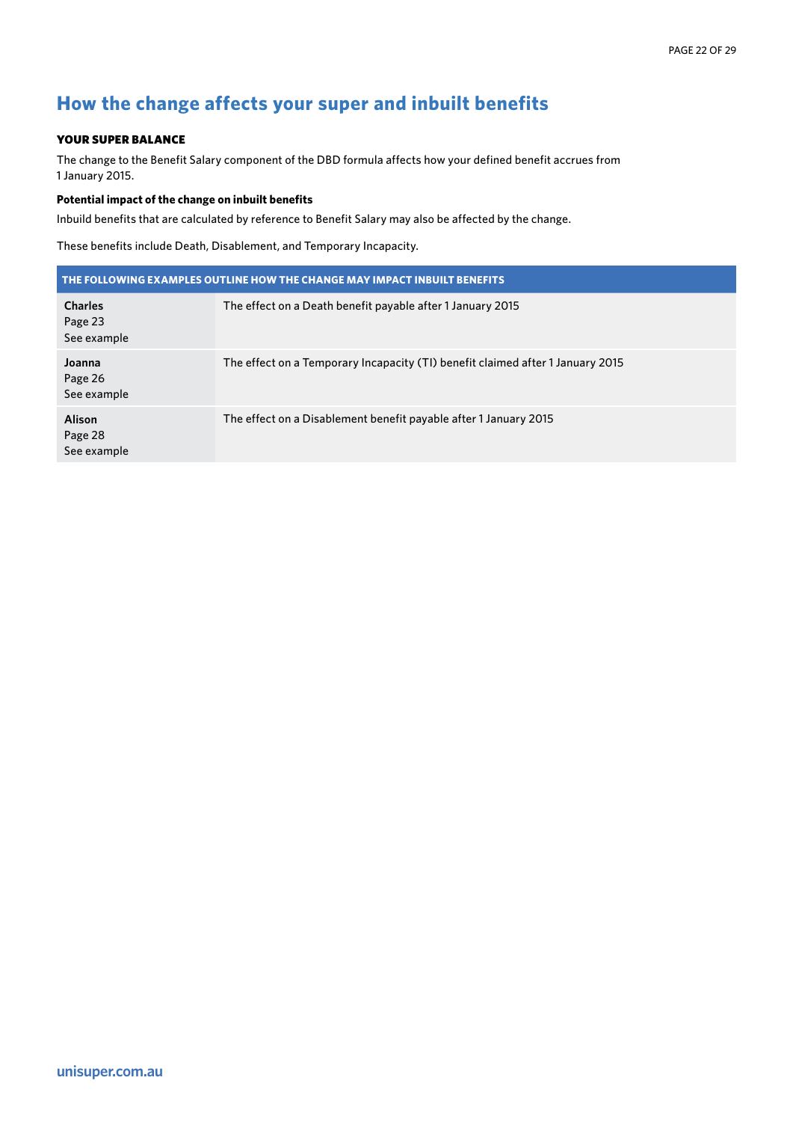# <span id="page-21-0"></span>**How the change affects your super and inbuilt benefits**

# YOUR SUPER BALANCE

The change to the Benefit Salary component of the DBD formula affects how your defined benefit accrues from 1 January 2015.

# **Potential impact of the change on inbuilt benefits**

Inbuild benefits that are calculated by reference to Benefit Salary may also be affected by the change.

These benefits include Death, Disablement, and Temporary Incapacity.

| THE FOLLOWING EXAMPLES OUTLINE HOW THE CHANGE MAY IMPACT INBUILT BENEFITS |                                                                                |  |  |
|---------------------------------------------------------------------------|--------------------------------------------------------------------------------|--|--|
| <b>Charles</b><br>Page 23<br>See example                                  | The effect on a Death benefit payable after 1 January 2015                     |  |  |
| Joanna<br>Page 26<br>See example                                          | The effect on a Temporary Incapacity (TI) benefit claimed after 1 January 2015 |  |  |
| <b>Alison</b><br>Page 28<br>See example                                   | The effect on a Disablement benefit payable after 1 January 2015               |  |  |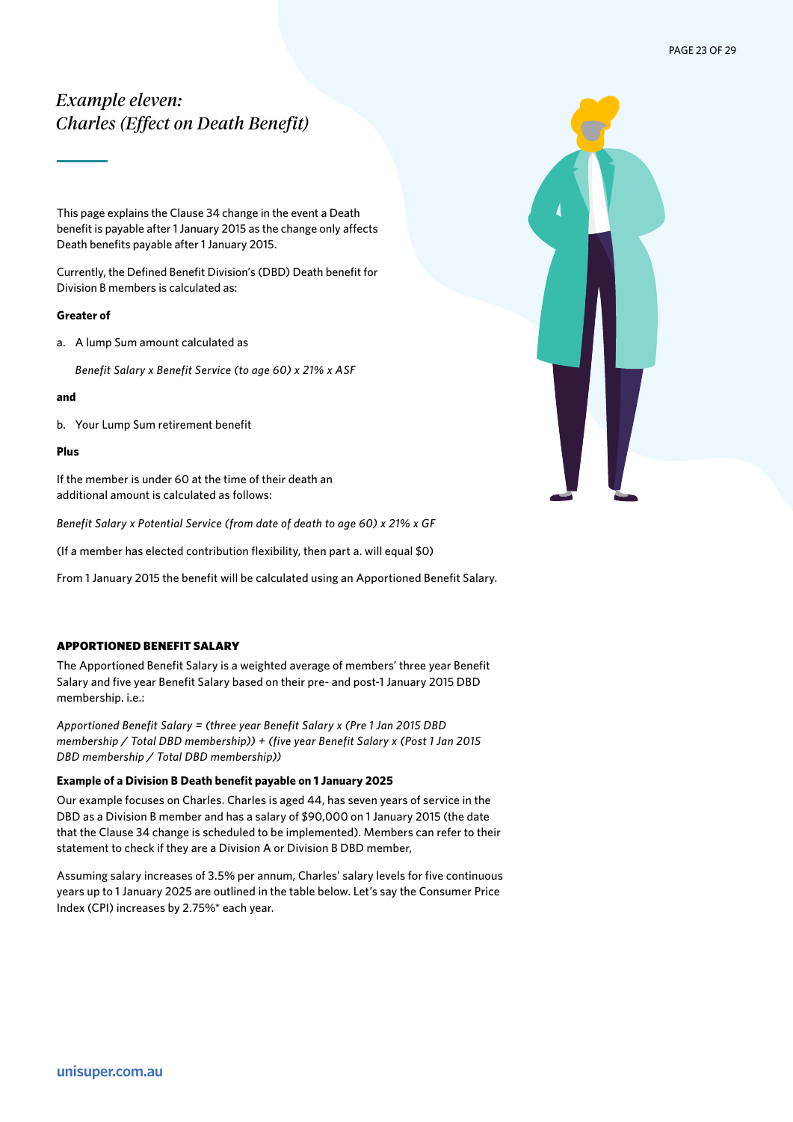# <span id="page-22-0"></span>*Example eleven: Charles (Effect on Death Benefit)*

This page explains the Clause 34 change in the event a Death benefit is payable after 1 January 2015 as the change only affects Death benefits payable after 1 January 2015.

Currently, the Defined Benefit Division's (DBD) Death benefit for Division B members is calculated as:

# **Greater of**

a. A lump Sum amount calculated as

*Benefit Salary x Benefit Service (to age 60) x 21% x ASF* 

#### **and**

b. Your Lump Sum retirement benefit

#### **Plus**

If the member is under 60 at the time of their death an additional amount is calculated as follows:

*Benefit Salary x Potential Service (from date of death to age 60) x 21% x GF*

(If a member has elected contribution flexibility, then part a. will equal \$0)

From 1 January 2015 the benefit will be calculated using an Apportioned Benefit Salary.

#### APPORTIONED BENEFIT SALARY

The Apportioned Benefit Salary is a weighted average of members' three year Benefit Salary and five year Benefit Salary based on their pre- and post-1 January 2015 DBD membership. i.e.:

*Apportioned Benefit Salary = (three year Benefit Salary x (Pre 1 Jan 2015 DBD membership / Total DBD membership)) + (five year Benefit Salary x (Post 1 Jan 2015 DBD membership / Total DBD membership))*

#### **Example of a Division B Death benefit payable on 1 January 2025**

Our example focuses on Charles. Charles is aged 44, has seven years of service in the DBD as a Division B member and has a salary of \$90,000 on 1 January 2015 (the date that the Clause 34 change is scheduled to be implemented). Members can refer to their statement to check if they are a Division A or Division B DBD member,

Assuming salary increases of 3.5% per annum, Charles' salary levels for five continuous years up to 1 January 2025 are outlined in the table below. Let's say the Consumer Price Index (CPI) increases by 2.75%\* each year.

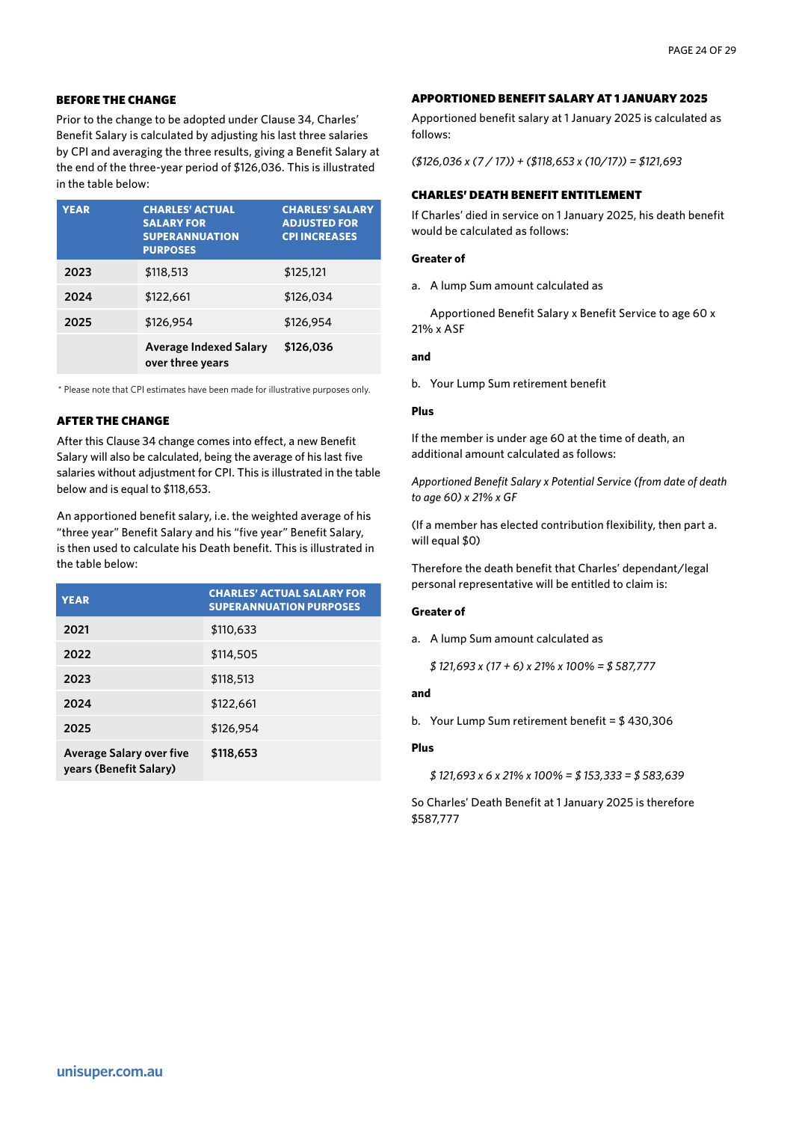### BEFORE THE CHANGE

Prior to the change to be adopted under Clause 34, Charles' Benefit Salary is calculated by adjusting his last three salaries by CPI and averaging the three results, giving a Benefit Salary at the end of the three-year period of \$126,036. This is illustrated in the table below:

| <b>YEAR</b> | <b>CHARLES' ACTUAL</b><br><b>SALARY FOR</b><br><b>SUPERANNUATION</b><br><b>PURPOSES</b> | <b>CHARLES' SALARY</b><br><b>ADJUSTED FOR</b><br><b>CPI INCREASES</b> |
|-------------|-----------------------------------------------------------------------------------------|-----------------------------------------------------------------------|
| 2023        | \$118,513                                                                               | \$125,121                                                             |
| 2024        | \$122,661                                                                               | \$126,034                                                             |
| 2025        | \$126,954                                                                               | \$126,954                                                             |
|             | <b>Average Indexed Salary</b><br>over three years                                       | \$126,036                                                             |

\* Please note that CPI estimates have been made for illustrative purposes only.

# AFTER THE CHANGE

After this Clause 34 change comes into effect, a new Benefit Salary will also be calculated, being the average of his last five salaries without adjustment for CPI. This is illustrated in the table below and is equal to \$118,653.

An apportioned benefit salary, i.e. the weighted average of his "three year" Benefit Salary and his "five year" Benefit Salary, is then used to calculate his Death benefit. This is illustrated in the table below:

| <b>YEAR</b>                                               | <b>CHARLES' ACTUAL SALARY FOR</b><br><b>SUPERANNUATION PURPOSES</b> |
|-----------------------------------------------------------|---------------------------------------------------------------------|
| 2021                                                      | \$110,633                                                           |
| 2022                                                      | \$114,505                                                           |
| 2023                                                      | \$118,513                                                           |
| 2024                                                      | \$122,661                                                           |
| 2025                                                      | \$126,954                                                           |
| <b>Average Salary over five</b><br>years (Benefit Salary) | \$118,653                                                           |

#### APPORTIONED BENEFIT SALARY AT 1 JANUARY 2025

Apportioned benefit salary at 1 January 2025 is calculated as follows:

*(\$126,036 x (7 / 17)) + (\$118,653 x (10/17)) = \$121,693*

# CHARLES' DEATH BENEFIT ENTITLEMENT

If Charles' died in service on 1 January 2025, his death benefit would be calculated as follows:

#### **Greater of**

a. A lump Sum amount calculated as

Apportioned Benefit Salary x Benefit Service to age 60 x 21% x ASF

#### **and**

b. Your Lump Sum retirement benefit

#### **Plus**

If the member is under age 60 at the time of death, an additional amount calculated as follows:

*Apportioned Benefit Salary x Potential Service (from date of death to age 60) x 21% x GF*

(If a member has elected contribution flexibility, then part a. will equal \$0)

Therefore the death benefit that Charles' dependant/legal personal representative will be entitled to claim is:

#### **Greater of**

a. A lump Sum amount calculated as

*\$ 121,693 x (17 + 6) x 21% x 100% = \$ 587,777*

#### **and**

b. Your Lump Sum retirement benefit = \$ 430,306

#### **Plus**

*\$ 121,693 x 6 x 21% x 100% = \$ 153,333 = \$ 583,639*

So Charles' Death Benefit at 1 January 2025 is therefore \$587,777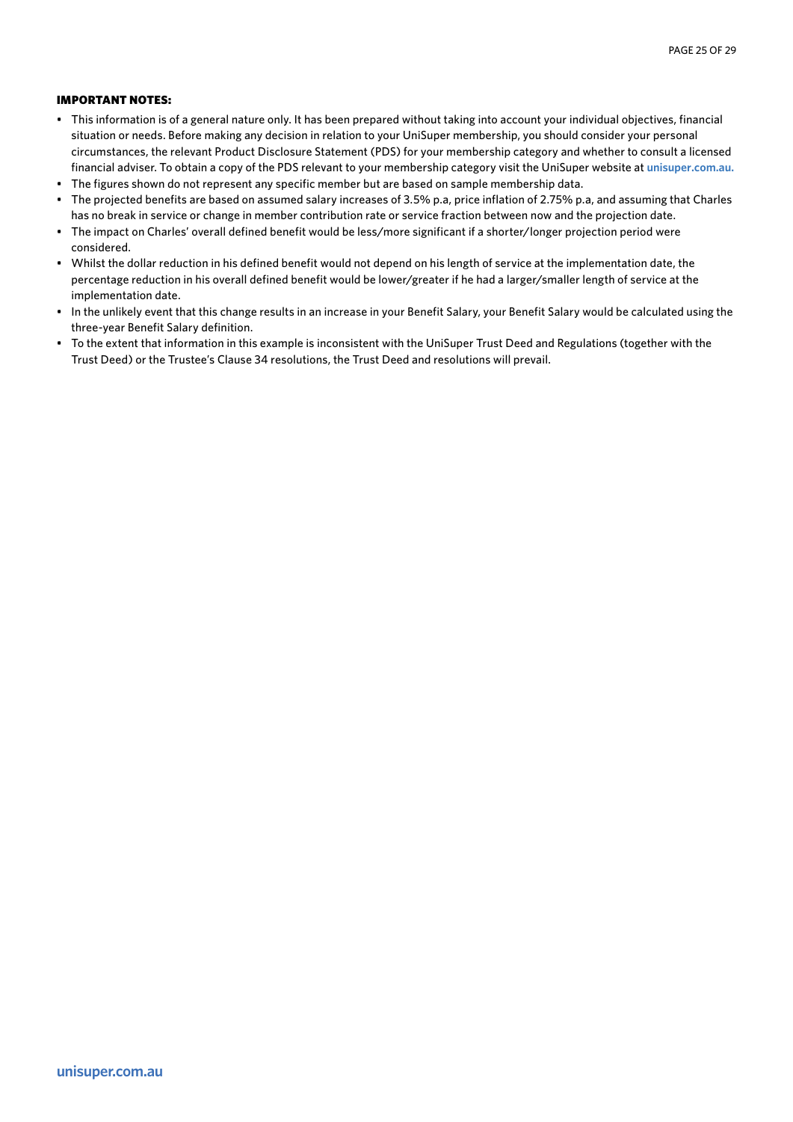- This information is of a general nature only. It has been prepared without taking into account your individual objectives, financial situation or needs. Before making any decision in relation to your UniSuper membership, you should consider your personal circumstances, the relevant Product Disclosure Statement (PDS) for your membership category and whether to consult a licensed financial adviser. To obtain a copy of the PDS relevant to your membership category visit the UniSuper website at **unisuper.com.au.**
- The figures shown do not represent any specific member but are based on sample membership data.
- The projected benefits are based on assumed salary increases of 3.5% p.a, price inflation of 2.75% p.a, and assuming that Charles has no break in service or change in member contribution rate or service fraction between now and the projection date.
- The impact on Charles' overall defined benefit would be less/more significant if a shorter/longer projection period were considered.
- Whilst the dollar reduction in his defined benefit would not depend on his length of service at the implementation date, the percentage reduction in his overall defined benefit would be lower/greater if he had a larger/smaller length of service at the implementation date.
- In the unlikely event that this change results in an increase in your Benefit Salary, your Benefit Salary would be calculated using the three-year Benefit Salary definition.
- To the extent that information in this example is inconsistent with the UniSuper Trust Deed and Regulations (together with the Trust Deed) or the Trustee's Clause 34 resolutions, the Trust Deed and resolutions will prevail.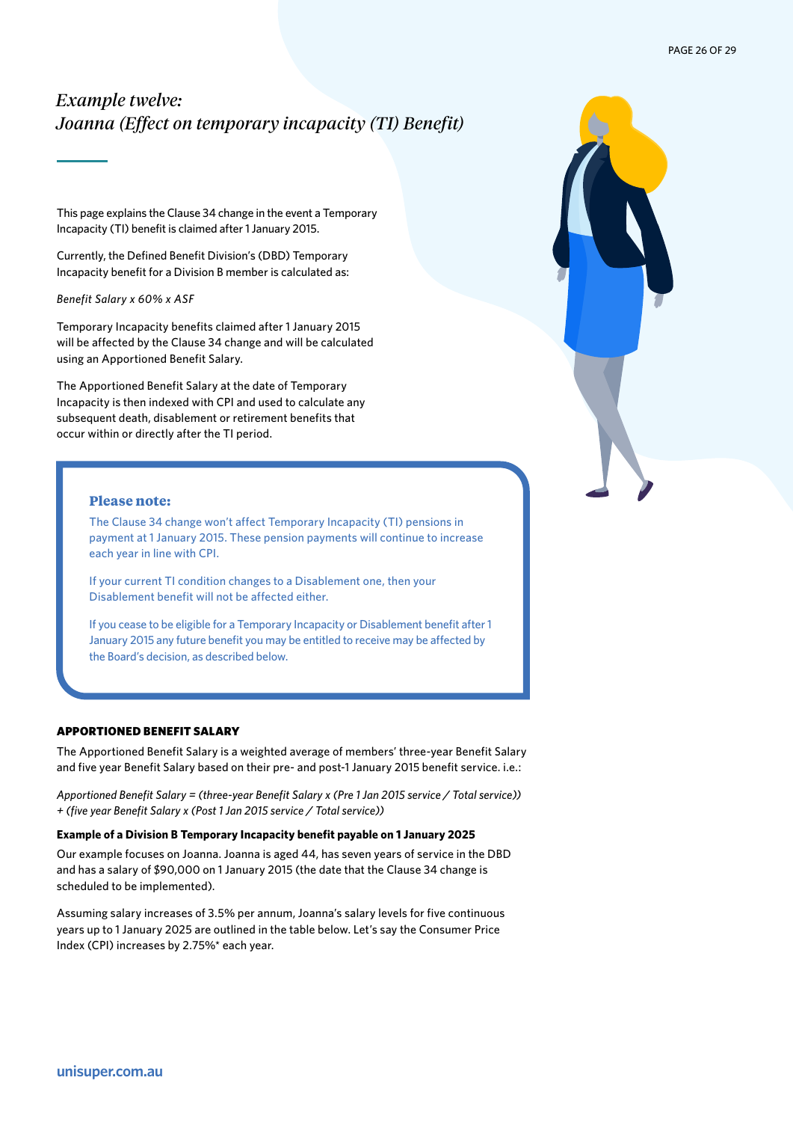# <span id="page-25-0"></span>*Example twelve: Joanna (Effect on temporary incapacity (TI) Benefit)*

This page explains the Clause 34 change in the event a Temporary Incapacity (TI) benefit is claimed after 1 January 2015.

Currently, the Defined Benefit Division's (DBD) Temporary Incapacity benefit for a Division B member is calculated as:

*Benefit Salary x 60% x ASF*

Temporary Incapacity benefits claimed after 1 January 2015 will be affected by the Clause 34 change and will be calculated using an Apportioned Benefit Salary.

The Apportioned Benefit Salary at the date of Temporary Incapacity is then indexed with CPI and used to calculate any subsequent death, disablement or retirement benefits that occur within or directly after the TI period.

# **Please note:**

The Clause 34 change won't affect Temporary Incapacity (TI) pensions in payment at 1 January 2015. These pension payments will continue to increase each year in line with CPI.

If your current TI condition changes to a Disablement one, then your Disablement benefit will not be affected either.

If you cease to be eligible for a Temporary Incapacity or Disablement benefit after 1 January 2015 any future benefit you may be entitled to receive may be affected by the Board's decision, as described below.

#### APPORTIONED BENEFIT SALARY

The Apportioned Benefit Salary is a weighted average of members' three-year Benefit Salary and five year Benefit Salary based on their pre- and post-1 January 2015 benefit service. i.e.:

*Apportioned Benefit Salary = (three-year Benefit Salary x (Pre 1 Jan 2015 service / Total service)) + (five year Benefit Salary x (Post 1 Jan 2015 service / Total service))*

#### **Example of a Division B Temporary Incapacity benefit payable on 1 January 2025**

Our example focuses on Joanna. Joanna is aged 44, has seven years of service in the DBD and has a salary of \$90,000 on 1 January 2015 (the date that the Clause 34 change is scheduled to be implemented).

Assuming salary increases of 3.5% per annum, Joanna's salary levels for five continuous years up to 1 January 2025 are outlined in the table below. Let's say the Consumer Price Index (CPI) increases by 2.75%\* each year.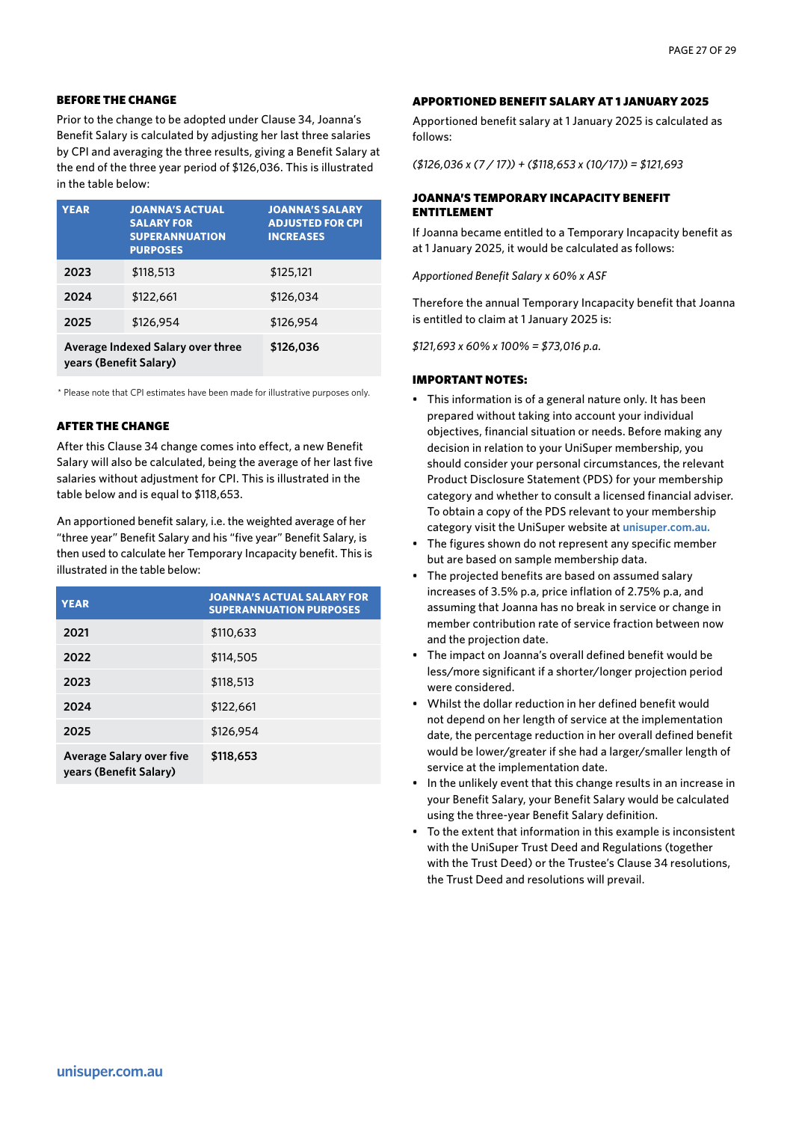### BEFORE THE CHANGE

Prior to the change to be adopted under Clause 34, Joanna's Benefit Salary is calculated by adjusting her last three salaries by CPI and averaging the three results, giving a Benefit Salary at the end of the three year period of \$126,036. This is illustrated in the table below:

| <b>YEAR</b>                                                 | <b>JOANNA'S ACTUAL</b><br><b>SALARY FOR</b><br><b>SUPERANNUATION</b><br><b>PURPOSES</b> | <b>JOANNA'S SALARY</b><br><b>ADJUSTED FOR CPI</b><br><b>INCREASES</b> |
|-------------------------------------------------------------|-----------------------------------------------------------------------------------------|-----------------------------------------------------------------------|
| 2023                                                        | \$118,513                                                                               | \$125,121                                                             |
| 2024                                                        | \$122,661                                                                               | \$126,034                                                             |
| 2025                                                        | \$126,954                                                                               | \$126,954                                                             |
| Average Indexed Salary over three<br>years (Benefit Salary) |                                                                                         | \$126,036                                                             |

\* Please note that CPI estimates have been made for illustrative purposes only.

# AFTER THE CHANGE

After this Clause 34 change comes into effect, a new Benefit Salary will also be calculated, being the average of her last five salaries without adjustment for CPI. This is illustrated in the table below and is equal to \$118,653.

An apportioned benefit salary, i.e. the weighted average of her "three year" Benefit Salary and his "five year" Benefit Salary, is then used to calculate her Temporary Incapacity benefit. This is illustrated in the table below:

| <b>YEAR</b>                                               | <b>JOANNA'S ACTUAL SALARY FOR</b><br><b>SUPERANNUATION PURPOSES</b> |
|-----------------------------------------------------------|---------------------------------------------------------------------|
| 2021                                                      | \$110,633                                                           |
| 2022                                                      | \$114,505                                                           |
| 2023                                                      | \$118,513                                                           |
| 2024                                                      | \$122,661                                                           |
| 2025                                                      | \$126,954                                                           |
| <b>Average Salary over five</b><br>years (Benefit Salary) | \$118,653                                                           |

#### APPORTIONED BENEFIT SALARY AT 1 JANUARY 2025

Apportioned benefit salary at 1 January 2025 is calculated as follows:

*(\$126,036 x (7 / 17)) + (\$118,653 x (10/17)) = \$121,693*

# JOANNA'S TEMPORARY INCAPACITY BENEFIT ENTITLEMENT

If Joanna became entitled to a Temporary Incapacity benefit as at 1 January 2025, it would be calculated as follows:

*Apportioned Benefit Salary x 60% x ASF*

Therefore the annual Temporary Incapacity benefit that Joanna is entitled to claim at 1 January 2025 is:

*\$121,693 x 60% x 100% = \$73,016 p.a.*

- This information is of a general nature only. It has been prepared without taking into account your individual objectives, financial situation or needs. Before making any decision in relation to your UniSuper membership, you should consider your personal circumstances, the relevant Product Disclosure Statement (PDS) for your membership category and whether to consult a licensed financial adviser. To obtain a copy of the PDS relevant to your membership category visit the UniSuper website at **unisuper.com.au.**
- The figures shown do not represent any specific member but are based on sample membership data.
- The projected benefits are based on assumed salary increases of 3.5% p.a, price inflation of 2.75% p.a, and assuming that Joanna has no break in service or change in member contribution rate of service fraction between now and the projection date.
- The impact on Joanna's overall defined benefit would be less/more significant if a shorter/longer projection period were considered.
- Whilst the dollar reduction in her defined benefit would not depend on her length of service at the implementation date, the percentage reduction in her overall defined benefit would be lower/greater if she had a larger/smaller length of service at the implementation date.
- In the unlikely event that this change results in an increase in your Benefit Salary, your Benefit Salary would be calculated using the three-year Benefit Salary definition.
- To the extent that information in this example is inconsistent with the UniSuper Trust Deed and Regulations (together with the Trust Deed) or the Trustee's Clause 34 resolutions, the Trust Deed and resolutions will prevail.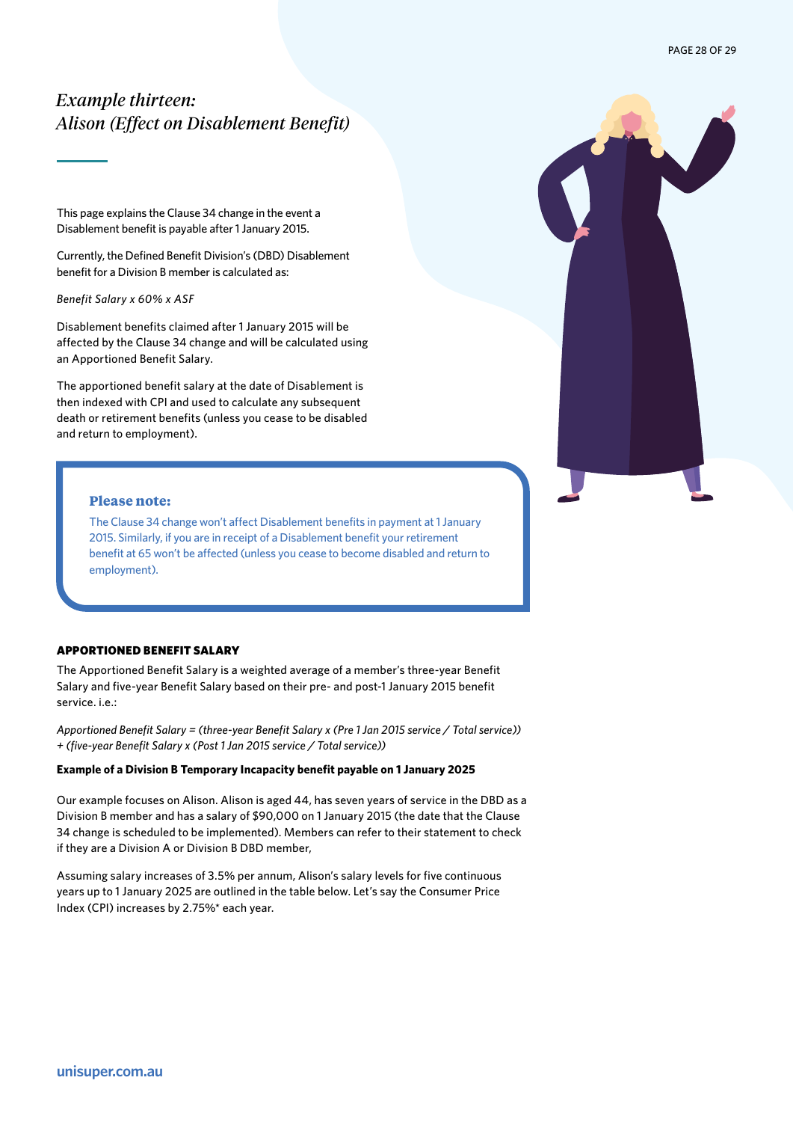# <span id="page-27-0"></span>*Example thirteen: Alison (Effect on Disablement Benefit)*

This page explains the Clause 34 change in the event a Disablement benefit is payable after 1 January 2015.

Currently, the Defined Benefit Division's (DBD) Disablement benefit for a Division B member is calculated as:

*Benefit Salary x 60% x ASF*

Disablement benefits claimed after 1 January 2015 will be affected by the Clause 34 change and will be calculated using an Apportioned Benefit Salary.

The apportioned benefit salary at the date of Disablement is then indexed with CPI and used to calculate any subsequent death or retirement benefits (unless you cease to be disabled and return to employment).

# **Please note:**

The Clause 34 change won't affect Disablement benefits in payment at 1 January 2015. Similarly, if you are in receipt of a Disablement benefit your retirement benefit at 65 won't be affected (unless you cease to become disabled and return to employment).

# APPORTIONED BENEFIT SALARY

The Apportioned Benefit Salary is a weighted average of a member's three-year Benefit Salary and five-year Benefit Salary based on their pre- and post-1 January 2015 benefit service. i.e.:

*Apportioned Benefit Salary = (three-year Benefit Salary x (Pre 1 Jan 2015 service / Total service)) + (five-year Benefit Salary x (Post 1 Jan 2015 service / Total service))*

#### **Example of a Division B Temporary Incapacity benefit payable on 1 January 2025**

Our example focuses on Alison. Alison is aged 44, has seven years of service in the DBD as a Division B member and has a salary of \$90,000 on 1 January 2015 (the date that the Clause 34 change is scheduled to be implemented). Members can refer to their statement to check if they are a Division A or Division B DBD member,

Assuming salary increases of 3.5% per annum, Alison's salary levels for five continuous years up to 1 January 2025 are outlined in the table below. Let's say the Consumer Price Index (CPI) increases by 2.75%\* each year.